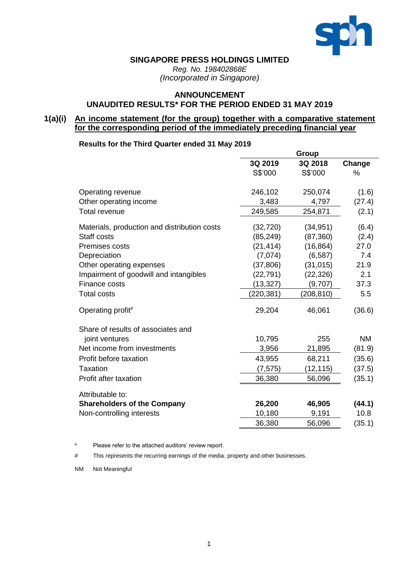

### **SINGAPORE PRESS HOLDINGS LIMITED**

*Reg. No. 198402868E (Incorporated in Singapore)*

## **ANNOUNCEMENT UNAUDITED RESULTS\* FOR THE PERIOD ENDED 31 MAY 2019**

## **1(a)(i) An income statement (for the group) together with a comparative statement for the corresponding period of the immediately preceding financial year**

### **Results for the Third Quarter ended 31 May 2019**

|                                              |            | Group      |               |
|----------------------------------------------|------------|------------|---------------|
|                                              | 3Q 2019    | 3Q 2018    | Change        |
|                                              | S\$'000    | S\$'000    | $\frac{0}{0}$ |
| Operating revenue                            | 246,102    | 250,074    | (1.6)         |
| Other operating income                       | 3,483      | 4,797      | (27.4)        |
| <b>Total revenue</b>                         | 249,585    | 254,871    | (2.1)         |
| Materials, production and distribution costs | (32, 720)  | (34, 951)  | (6.4)         |
| Staff costs                                  | (85, 249)  | (87, 360)  | (2.4)         |
| Premises costs                               | (21, 414)  | (16, 864)  | 27.0          |
| Depreciation                                 | (7,074)    | (6, 587)   | 7.4           |
| Other operating expenses                     | (37, 806)  | (31, 015)  | 21.9          |
| Impairment of goodwill and intangibles       | (22, 791)  | (22, 326)  | 2.1           |
| Finance costs                                | (13, 327)  | (9,707)    | 37.3          |
| <b>Total costs</b>                           | (220, 381) | (208, 810) | 5.5           |
| Operating profit#                            | 29,204     | 46,061     | (36.6)        |
| Share of results of associates and           |            |            |               |
| joint ventures                               | 10,795     | 255        | <b>NM</b>     |
| Net income from investments                  | 3,956      | 21,895     | (81.9)        |
| Profit before taxation                       | 43,955     | 68,211     | (35.6)        |
| <b>Taxation</b>                              | (7, 575)   | (12, 115)  | (37.5)        |
| Profit after taxation                        | 36,380     | 56,096     | (35.1)        |
| Attributable to:                             |            |            |               |
| <b>Shareholders of the Company</b>           | 26,200     | 46,905     | (44.1)        |
| Non-controlling interests                    | 10,180     | 9,191      | 10.8          |
|                                              | 36,380     | 56,096     | (35.1)        |

\* Please refer to the attached auditors' review report.

# This represents the recurring earnings of the media, property and other businesses.

NM Not Meaningful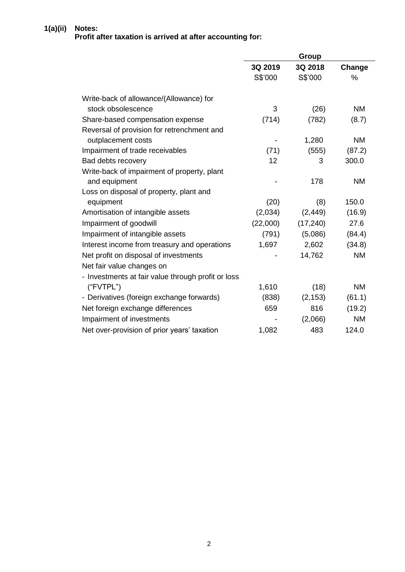### **1(a)(ii) Notes: Profit after taxation is arrived at after accounting for:**

|                                                    |          | Group     |               |
|----------------------------------------------------|----------|-----------|---------------|
|                                                    | 3Q 2019  | 3Q 2018   | Change        |
|                                                    | S\$'000  | S\$'000   | $\frac{0}{0}$ |
| Write-back of allowance/(Allowance) for            |          |           |               |
| stock obsolescence                                 | 3        | (26)      | <b>NM</b>     |
| Share-based compensation expense                   | (714)    | (782)     | (8.7)         |
| Reversal of provision for retrenchment and         |          |           |               |
| outplacement costs                                 |          | 1,280     | <b>NM</b>     |
| Impairment of trade receivables                    | (71)     | (555)     | (87.2)        |
| Bad debts recovery                                 | 12       | 3         | 300.0         |
| Write-back of impairment of property, plant        |          |           |               |
| and equipment                                      |          | 178       | <b>NM</b>     |
| Loss on disposal of property, plant and            |          |           |               |
| equipment                                          | (20)     | (8)       | 150.0         |
| Amortisation of intangible assets                  | (2,034)  | (2, 449)  | (16.9)        |
| Impairment of goodwill                             | (22,000) | (17, 240) | 27.6          |
| Impairment of intangible assets                    | (791)    | (5,086)   | (84.4)        |
| Interest income from treasury and operations       | 1,697    | 2,602     | (34.8)        |
| Net profit on disposal of investments              |          | 14,762    | <b>NM</b>     |
| Net fair value changes on                          |          |           |               |
| - Investments at fair value through profit or loss |          |           |               |
| ("FVTPL")                                          | 1,610    | (18)      | <b>NM</b>     |
| - Derivatives (foreign exchange forwards)          | (838)    | (2, 153)  | (61.1)        |
| Net foreign exchange differences                   | 659      | 816       | (19.2)        |
| Impairment of investments                          |          | (2,066)   | <b>NM</b>     |
| Net over-provision of prior years' taxation        | 1,082    | 483       | 124.0         |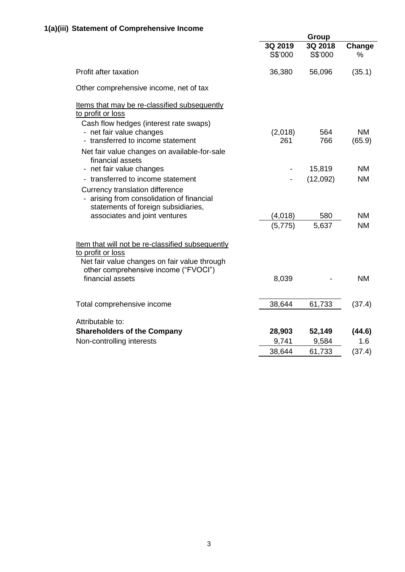|                                                                                                                                                               | Group              |                    |                        |  |
|---------------------------------------------------------------------------------------------------------------------------------------------------------------|--------------------|--------------------|------------------------|--|
|                                                                                                                                                               | 3Q 2019<br>S\$'000 | 3Q 2018<br>S\$'000 | Change<br>$\%$         |  |
| Profit after taxation                                                                                                                                         | 36,380             | 56,096             | (35.1)                 |  |
| Other comprehensive income, net of tax                                                                                                                        |                    |                    |                        |  |
| Items that may be re-classified subsequently<br>to profit or loss<br>Cash flow hedges (interest rate swaps)                                                   |                    |                    |                        |  |
| - net fair value changes<br>- transferred to income statement                                                                                                 | (2,018)<br>261     | 564<br>766         | <b>NM</b><br>(65.9)    |  |
| Net fair value changes on available-for-sale<br>financial assets                                                                                              |                    |                    |                        |  |
| - net fair value changes<br>- transferred to income statement                                                                                                 |                    | 15,819             | <b>NM</b><br><b>NM</b> |  |
| Currency translation difference<br>arising from consolidation of financial<br>statements of foreign subsidiaries,                                             |                    | (12,092)           |                        |  |
| associates and joint ventures                                                                                                                                 | (4,018)            | 580                | <b>NM</b>              |  |
|                                                                                                                                                               | (5,775)            | 5,637              | <b>NM</b>              |  |
| Item that will not be re-classified subsequently<br>to profit or loss<br>Net fair value changes on fair value through<br>other comprehensive income ("FVOCI") |                    |                    |                        |  |
| financial assets                                                                                                                                              | 8,039              |                    | <b>NM</b>              |  |
| Total comprehensive income                                                                                                                                    | 38,644             | 61,733             | (37.4)                 |  |
| Attributable to:                                                                                                                                              |                    |                    |                        |  |
| <b>Shareholders of the Company</b>                                                                                                                            | 28,903             | 52,149             | (44.6)                 |  |
| Non-controlling interests                                                                                                                                     | 9,741              | 9,584              | 1.6                    |  |
|                                                                                                                                                               | 38,644             | 61,733             | (37.4)                 |  |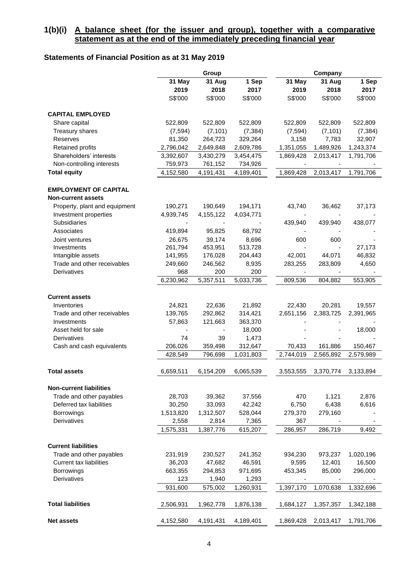### **1(b)(i) A balance sheet (for the issuer and group), together with a comparative statement as at the end of the immediately preceding financial year**

## **Statements of Financial Position as at 31 May 2019**

| 31 May<br>31 Aug<br>1 Sep<br>31 May<br>31 Aug<br>1 Sep<br>2017<br>2017<br>2019<br>2018<br>2019<br>2018<br>S\$'000<br>S\$'000<br>S\$'000<br>S\$'000<br>S\$'000<br>S\$'000<br><b>CAPITAL EMPLOYED</b><br>Share capital<br>522,809<br>522,809<br>522,809<br>522,809<br>522,809<br>522,809<br>(7, 101)<br>(7, 101)<br>Treasury shares<br>(7, 594)<br>(7, 384)<br>(7, 594)<br>(7, 384)<br>7,783<br>32,907<br>Reserves<br>81,350<br>264,723<br>329,264<br>3,158<br><b>Retained profits</b><br>2,796,042<br>2,649,848<br>2,609,786<br>1,351,055<br>1,489,926<br>1,243,374<br>2,013,417<br>Shareholders' interests<br>3,392,607<br>3,430,279<br>3,454,475<br>1,869,428<br>1,791,706<br>Non-controlling interests<br>759,973<br>761,152<br>734,926<br><b>Total equity</b><br>4,152,580<br>4,191,431<br>4,189,401<br>2,013,417<br>1,791,706<br>1,869,428<br><b>EMPLOYMENT OF CAPITAL</b><br><b>Non-current assets</b><br>Property, plant and equipment<br>190,271<br>190,649<br>194,171<br>43,740<br>36,462<br>37,173<br>Investment properties<br>4,939,745<br>4,155,122<br>4,034,771<br>Subsidiaries<br>439,940<br>439,940<br>438,077<br>Associates<br>419,894<br>95,825<br>68,792<br>26,675<br>39,174<br>8,696<br>600<br>600<br>Joint ventures<br>261,794<br>453,951<br>513,728<br>27,173<br>Investments<br>44,071<br>46,832<br>Intangible assets<br>141,955<br>176,028<br>204,443<br>42,001<br>Trade and other receivables<br>249,660<br>246,562<br>8,935<br>283,255<br>283,809<br>4,650<br>968<br>200<br>Derivatives<br>200<br>6,230,962<br>5,357,511<br>5,033,736<br>809,536<br>804,882<br>553,905<br><b>Current assets</b><br>24,821<br>22,636<br>21,892<br>Inventories<br>22,430<br>20,281<br>19,557<br>Trade and other receivables<br>139,765<br>292,862<br>314,421<br>2,651,156<br>2,383,725<br>2,391,965<br>57,863<br>121,663<br>363,370<br>Investments<br>Asset held for sale<br>18,000<br>18,000<br><b>Derivatives</b><br>74<br>39<br>1,473<br>206,026<br>Cash and cash equivalents<br>359,498<br>312,647<br>70,433<br>161,886<br>150,467<br>796,698<br>2,565,892<br>428,549<br>1,031,803<br>2,744,019<br>2,579,989<br>6,154,209<br>6,065,539<br>6,659,511<br>3,553,555<br>3,370,774<br>3,133,894<br><b>Total assets</b><br><b>Non-current liabilities</b><br>Trade and other payables<br>28,703<br>39,362<br>470<br>1,121<br>2,876<br>37,556<br>6,438<br>Deferred tax liabilities<br>30,250<br>33,093<br>42,242<br>6,616<br>6,750<br>Borrowings<br>1,513,820<br>1,312,507<br>528,044<br>279,370<br>279,160<br>Derivatives<br>2,558<br>2,814<br>7,365<br>367<br>1,575,331<br>1,387,776<br>615,207<br>286,957<br>286,719<br>9,492<br><b>Current liabilities</b><br>Trade and other payables<br>1,020,196<br>231,919<br>230,527<br>241,352<br>934,230<br>973,237<br>Current tax liabilities<br>47,682<br>46,591<br>36,203<br>9,595<br>12,401<br>16,500<br>663,355<br>453,345<br>85,000<br>Borrowings<br>294,853<br>971,695<br>296,000<br>123<br>1,940<br>Derivatives<br>1,293<br>931,600<br>575,002<br>1,260,931<br>1,332,696<br>1,397,170<br>1,070,638<br><b>Total liabilities</b><br>1,962,778<br>1,876,138<br>1,357,357<br>1,342,188<br>2,506,931<br>1,684,127 |                   |           | Group     |           | Company   |           |           |  |
|-------------------------------------------------------------------------------------------------------------------------------------------------------------------------------------------------------------------------------------------------------------------------------------------------------------------------------------------------------------------------------------------------------------------------------------------------------------------------------------------------------------------------------------------------------------------------------------------------------------------------------------------------------------------------------------------------------------------------------------------------------------------------------------------------------------------------------------------------------------------------------------------------------------------------------------------------------------------------------------------------------------------------------------------------------------------------------------------------------------------------------------------------------------------------------------------------------------------------------------------------------------------------------------------------------------------------------------------------------------------------------------------------------------------------------------------------------------------------------------------------------------------------------------------------------------------------------------------------------------------------------------------------------------------------------------------------------------------------------------------------------------------------------------------------------------------------------------------------------------------------------------------------------------------------------------------------------------------------------------------------------------------------------------------------------------------------------------------------------------------------------------------------------------------------------------------------------------------------------------------------------------------------------------------------------------------------------------------------------------------------------------------------------------------------------------------------------------------------------------------------------------------------------------------------------------------------------------------------------------------------------------------------------------------------------------------------------------------------------------------------------------------------------------------------------------------------------------------------------------------------------------------------------------------------------------------------------------------------------------------------------------------------------------------------------------------------------------------------------------------------------------------------------------------|-------------------|-----------|-----------|-----------|-----------|-----------|-----------|--|
|                                                                                                                                                                                                                                                                                                                                                                                                                                                                                                                                                                                                                                                                                                                                                                                                                                                                                                                                                                                                                                                                                                                                                                                                                                                                                                                                                                                                                                                                                                                                                                                                                                                                                                                                                                                                                                                                                                                                                                                                                                                                                                                                                                                                                                                                                                                                                                                                                                                                                                                                                                                                                                                                                                                                                                                                                                                                                                                                                                                                                                                                                                                                                                   |                   |           |           |           |           |           |           |  |
|                                                                                                                                                                                                                                                                                                                                                                                                                                                                                                                                                                                                                                                                                                                                                                                                                                                                                                                                                                                                                                                                                                                                                                                                                                                                                                                                                                                                                                                                                                                                                                                                                                                                                                                                                                                                                                                                                                                                                                                                                                                                                                                                                                                                                                                                                                                                                                                                                                                                                                                                                                                                                                                                                                                                                                                                                                                                                                                                                                                                                                                                                                                                                                   |                   |           |           |           |           |           |           |  |
|                                                                                                                                                                                                                                                                                                                                                                                                                                                                                                                                                                                                                                                                                                                                                                                                                                                                                                                                                                                                                                                                                                                                                                                                                                                                                                                                                                                                                                                                                                                                                                                                                                                                                                                                                                                                                                                                                                                                                                                                                                                                                                                                                                                                                                                                                                                                                                                                                                                                                                                                                                                                                                                                                                                                                                                                                                                                                                                                                                                                                                                                                                                                                                   |                   |           |           |           |           |           |           |  |
|                                                                                                                                                                                                                                                                                                                                                                                                                                                                                                                                                                                                                                                                                                                                                                                                                                                                                                                                                                                                                                                                                                                                                                                                                                                                                                                                                                                                                                                                                                                                                                                                                                                                                                                                                                                                                                                                                                                                                                                                                                                                                                                                                                                                                                                                                                                                                                                                                                                                                                                                                                                                                                                                                                                                                                                                                                                                                                                                                                                                                                                                                                                                                                   |                   |           |           |           |           |           |           |  |
|                                                                                                                                                                                                                                                                                                                                                                                                                                                                                                                                                                                                                                                                                                                                                                                                                                                                                                                                                                                                                                                                                                                                                                                                                                                                                                                                                                                                                                                                                                                                                                                                                                                                                                                                                                                                                                                                                                                                                                                                                                                                                                                                                                                                                                                                                                                                                                                                                                                                                                                                                                                                                                                                                                                                                                                                                                                                                                                                                                                                                                                                                                                                                                   |                   |           |           |           |           |           |           |  |
|                                                                                                                                                                                                                                                                                                                                                                                                                                                                                                                                                                                                                                                                                                                                                                                                                                                                                                                                                                                                                                                                                                                                                                                                                                                                                                                                                                                                                                                                                                                                                                                                                                                                                                                                                                                                                                                                                                                                                                                                                                                                                                                                                                                                                                                                                                                                                                                                                                                                                                                                                                                                                                                                                                                                                                                                                                                                                                                                                                                                                                                                                                                                                                   |                   |           |           |           |           |           |           |  |
|                                                                                                                                                                                                                                                                                                                                                                                                                                                                                                                                                                                                                                                                                                                                                                                                                                                                                                                                                                                                                                                                                                                                                                                                                                                                                                                                                                                                                                                                                                                                                                                                                                                                                                                                                                                                                                                                                                                                                                                                                                                                                                                                                                                                                                                                                                                                                                                                                                                                                                                                                                                                                                                                                                                                                                                                                                                                                                                                                                                                                                                                                                                                                                   |                   |           |           |           |           |           |           |  |
|                                                                                                                                                                                                                                                                                                                                                                                                                                                                                                                                                                                                                                                                                                                                                                                                                                                                                                                                                                                                                                                                                                                                                                                                                                                                                                                                                                                                                                                                                                                                                                                                                                                                                                                                                                                                                                                                                                                                                                                                                                                                                                                                                                                                                                                                                                                                                                                                                                                                                                                                                                                                                                                                                                                                                                                                                                                                                                                                                                                                                                                                                                                                                                   |                   |           |           |           |           |           |           |  |
|                                                                                                                                                                                                                                                                                                                                                                                                                                                                                                                                                                                                                                                                                                                                                                                                                                                                                                                                                                                                                                                                                                                                                                                                                                                                                                                                                                                                                                                                                                                                                                                                                                                                                                                                                                                                                                                                                                                                                                                                                                                                                                                                                                                                                                                                                                                                                                                                                                                                                                                                                                                                                                                                                                                                                                                                                                                                                                                                                                                                                                                                                                                                                                   |                   |           |           |           |           |           |           |  |
|                                                                                                                                                                                                                                                                                                                                                                                                                                                                                                                                                                                                                                                                                                                                                                                                                                                                                                                                                                                                                                                                                                                                                                                                                                                                                                                                                                                                                                                                                                                                                                                                                                                                                                                                                                                                                                                                                                                                                                                                                                                                                                                                                                                                                                                                                                                                                                                                                                                                                                                                                                                                                                                                                                                                                                                                                                                                                                                                                                                                                                                                                                                                                                   |                   |           |           |           |           |           |           |  |
|                                                                                                                                                                                                                                                                                                                                                                                                                                                                                                                                                                                                                                                                                                                                                                                                                                                                                                                                                                                                                                                                                                                                                                                                                                                                                                                                                                                                                                                                                                                                                                                                                                                                                                                                                                                                                                                                                                                                                                                                                                                                                                                                                                                                                                                                                                                                                                                                                                                                                                                                                                                                                                                                                                                                                                                                                                                                                                                                                                                                                                                                                                                                                                   |                   |           |           |           |           |           |           |  |
|                                                                                                                                                                                                                                                                                                                                                                                                                                                                                                                                                                                                                                                                                                                                                                                                                                                                                                                                                                                                                                                                                                                                                                                                                                                                                                                                                                                                                                                                                                                                                                                                                                                                                                                                                                                                                                                                                                                                                                                                                                                                                                                                                                                                                                                                                                                                                                                                                                                                                                                                                                                                                                                                                                                                                                                                                                                                                                                                                                                                                                                                                                                                                                   |                   |           |           |           |           |           |           |  |
|                                                                                                                                                                                                                                                                                                                                                                                                                                                                                                                                                                                                                                                                                                                                                                                                                                                                                                                                                                                                                                                                                                                                                                                                                                                                                                                                                                                                                                                                                                                                                                                                                                                                                                                                                                                                                                                                                                                                                                                                                                                                                                                                                                                                                                                                                                                                                                                                                                                                                                                                                                                                                                                                                                                                                                                                                                                                                                                                                                                                                                                                                                                                                                   |                   |           |           |           |           |           |           |  |
|                                                                                                                                                                                                                                                                                                                                                                                                                                                                                                                                                                                                                                                                                                                                                                                                                                                                                                                                                                                                                                                                                                                                                                                                                                                                                                                                                                                                                                                                                                                                                                                                                                                                                                                                                                                                                                                                                                                                                                                                                                                                                                                                                                                                                                                                                                                                                                                                                                                                                                                                                                                                                                                                                                                                                                                                                                                                                                                                                                                                                                                                                                                                                                   |                   |           |           |           |           |           |           |  |
|                                                                                                                                                                                                                                                                                                                                                                                                                                                                                                                                                                                                                                                                                                                                                                                                                                                                                                                                                                                                                                                                                                                                                                                                                                                                                                                                                                                                                                                                                                                                                                                                                                                                                                                                                                                                                                                                                                                                                                                                                                                                                                                                                                                                                                                                                                                                                                                                                                                                                                                                                                                                                                                                                                                                                                                                                                                                                                                                                                                                                                                                                                                                                                   |                   |           |           |           |           |           |           |  |
|                                                                                                                                                                                                                                                                                                                                                                                                                                                                                                                                                                                                                                                                                                                                                                                                                                                                                                                                                                                                                                                                                                                                                                                                                                                                                                                                                                                                                                                                                                                                                                                                                                                                                                                                                                                                                                                                                                                                                                                                                                                                                                                                                                                                                                                                                                                                                                                                                                                                                                                                                                                                                                                                                                                                                                                                                                                                                                                                                                                                                                                                                                                                                                   |                   |           |           |           |           |           |           |  |
|                                                                                                                                                                                                                                                                                                                                                                                                                                                                                                                                                                                                                                                                                                                                                                                                                                                                                                                                                                                                                                                                                                                                                                                                                                                                                                                                                                                                                                                                                                                                                                                                                                                                                                                                                                                                                                                                                                                                                                                                                                                                                                                                                                                                                                                                                                                                                                                                                                                                                                                                                                                                                                                                                                                                                                                                                                                                                                                                                                                                                                                                                                                                                                   |                   |           |           |           |           |           |           |  |
|                                                                                                                                                                                                                                                                                                                                                                                                                                                                                                                                                                                                                                                                                                                                                                                                                                                                                                                                                                                                                                                                                                                                                                                                                                                                                                                                                                                                                                                                                                                                                                                                                                                                                                                                                                                                                                                                                                                                                                                                                                                                                                                                                                                                                                                                                                                                                                                                                                                                                                                                                                                                                                                                                                                                                                                                                                                                                                                                                                                                                                                                                                                                                                   |                   |           |           |           |           |           |           |  |
|                                                                                                                                                                                                                                                                                                                                                                                                                                                                                                                                                                                                                                                                                                                                                                                                                                                                                                                                                                                                                                                                                                                                                                                                                                                                                                                                                                                                                                                                                                                                                                                                                                                                                                                                                                                                                                                                                                                                                                                                                                                                                                                                                                                                                                                                                                                                                                                                                                                                                                                                                                                                                                                                                                                                                                                                                                                                                                                                                                                                                                                                                                                                                                   |                   |           |           |           |           |           |           |  |
|                                                                                                                                                                                                                                                                                                                                                                                                                                                                                                                                                                                                                                                                                                                                                                                                                                                                                                                                                                                                                                                                                                                                                                                                                                                                                                                                                                                                                                                                                                                                                                                                                                                                                                                                                                                                                                                                                                                                                                                                                                                                                                                                                                                                                                                                                                                                                                                                                                                                                                                                                                                                                                                                                                                                                                                                                                                                                                                                                                                                                                                                                                                                                                   |                   |           |           |           |           |           |           |  |
|                                                                                                                                                                                                                                                                                                                                                                                                                                                                                                                                                                                                                                                                                                                                                                                                                                                                                                                                                                                                                                                                                                                                                                                                                                                                                                                                                                                                                                                                                                                                                                                                                                                                                                                                                                                                                                                                                                                                                                                                                                                                                                                                                                                                                                                                                                                                                                                                                                                                                                                                                                                                                                                                                                                                                                                                                                                                                                                                                                                                                                                                                                                                                                   |                   |           |           |           |           |           |           |  |
|                                                                                                                                                                                                                                                                                                                                                                                                                                                                                                                                                                                                                                                                                                                                                                                                                                                                                                                                                                                                                                                                                                                                                                                                                                                                                                                                                                                                                                                                                                                                                                                                                                                                                                                                                                                                                                                                                                                                                                                                                                                                                                                                                                                                                                                                                                                                                                                                                                                                                                                                                                                                                                                                                                                                                                                                                                                                                                                                                                                                                                                                                                                                                                   |                   |           |           |           |           |           |           |  |
|                                                                                                                                                                                                                                                                                                                                                                                                                                                                                                                                                                                                                                                                                                                                                                                                                                                                                                                                                                                                                                                                                                                                                                                                                                                                                                                                                                                                                                                                                                                                                                                                                                                                                                                                                                                                                                                                                                                                                                                                                                                                                                                                                                                                                                                                                                                                                                                                                                                                                                                                                                                                                                                                                                                                                                                                                                                                                                                                                                                                                                                                                                                                                                   |                   |           |           |           |           |           |           |  |
|                                                                                                                                                                                                                                                                                                                                                                                                                                                                                                                                                                                                                                                                                                                                                                                                                                                                                                                                                                                                                                                                                                                                                                                                                                                                                                                                                                                                                                                                                                                                                                                                                                                                                                                                                                                                                                                                                                                                                                                                                                                                                                                                                                                                                                                                                                                                                                                                                                                                                                                                                                                                                                                                                                                                                                                                                                                                                                                                                                                                                                                                                                                                                                   |                   |           |           |           |           |           |           |  |
|                                                                                                                                                                                                                                                                                                                                                                                                                                                                                                                                                                                                                                                                                                                                                                                                                                                                                                                                                                                                                                                                                                                                                                                                                                                                                                                                                                                                                                                                                                                                                                                                                                                                                                                                                                                                                                                                                                                                                                                                                                                                                                                                                                                                                                                                                                                                                                                                                                                                                                                                                                                                                                                                                                                                                                                                                                                                                                                                                                                                                                                                                                                                                                   |                   |           |           |           |           |           |           |  |
|                                                                                                                                                                                                                                                                                                                                                                                                                                                                                                                                                                                                                                                                                                                                                                                                                                                                                                                                                                                                                                                                                                                                                                                                                                                                                                                                                                                                                                                                                                                                                                                                                                                                                                                                                                                                                                                                                                                                                                                                                                                                                                                                                                                                                                                                                                                                                                                                                                                                                                                                                                                                                                                                                                                                                                                                                                                                                                                                                                                                                                                                                                                                                                   |                   |           |           |           |           |           |           |  |
|                                                                                                                                                                                                                                                                                                                                                                                                                                                                                                                                                                                                                                                                                                                                                                                                                                                                                                                                                                                                                                                                                                                                                                                                                                                                                                                                                                                                                                                                                                                                                                                                                                                                                                                                                                                                                                                                                                                                                                                                                                                                                                                                                                                                                                                                                                                                                                                                                                                                                                                                                                                                                                                                                                                                                                                                                                                                                                                                                                                                                                                                                                                                                                   |                   |           |           |           |           |           |           |  |
|                                                                                                                                                                                                                                                                                                                                                                                                                                                                                                                                                                                                                                                                                                                                                                                                                                                                                                                                                                                                                                                                                                                                                                                                                                                                                                                                                                                                                                                                                                                                                                                                                                                                                                                                                                                                                                                                                                                                                                                                                                                                                                                                                                                                                                                                                                                                                                                                                                                                                                                                                                                                                                                                                                                                                                                                                                                                                                                                                                                                                                                                                                                                                                   |                   |           |           |           |           |           |           |  |
|                                                                                                                                                                                                                                                                                                                                                                                                                                                                                                                                                                                                                                                                                                                                                                                                                                                                                                                                                                                                                                                                                                                                                                                                                                                                                                                                                                                                                                                                                                                                                                                                                                                                                                                                                                                                                                                                                                                                                                                                                                                                                                                                                                                                                                                                                                                                                                                                                                                                                                                                                                                                                                                                                                                                                                                                                                                                                                                                                                                                                                                                                                                                                                   |                   |           |           |           |           |           |           |  |
|                                                                                                                                                                                                                                                                                                                                                                                                                                                                                                                                                                                                                                                                                                                                                                                                                                                                                                                                                                                                                                                                                                                                                                                                                                                                                                                                                                                                                                                                                                                                                                                                                                                                                                                                                                                                                                                                                                                                                                                                                                                                                                                                                                                                                                                                                                                                                                                                                                                                                                                                                                                                                                                                                                                                                                                                                                                                                                                                                                                                                                                                                                                                                                   |                   |           |           |           |           |           |           |  |
|                                                                                                                                                                                                                                                                                                                                                                                                                                                                                                                                                                                                                                                                                                                                                                                                                                                                                                                                                                                                                                                                                                                                                                                                                                                                                                                                                                                                                                                                                                                                                                                                                                                                                                                                                                                                                                                                                                                                                                                                                                                                                                                                                                                                                                                                                                                                                                                                                                                                                                                                                                                                                                                                                                                                                                                                                                                                                                                                                                                                                                                                                                                                                                   |                   |           |           |           |           |           |           |  |
|                                                                                                                                                                                                                                                                                                                                                                                                                                                                                                                                                                                                                                                                                                                                                                                                                                                                                                                                                                                                                                                                                                                                                                                                                                                                                                                                                                                                                                                                                                                                                                                                                                                                                                                                                                                                                                                                                                                                                                                                                                                                                                                                                                                                                                                                                                                                                                                                                                                                                                                                                                                                                                                                                                                                                                                                                                                                                                                                                                                                                                                                                                                                                                   |                   |           |           |           |           |           |           |  |
|                                                                                                                                                                                                                                                                                                                                                                                                                                                                                                                                                                                                                                                                                                                                                                                                                                                                                                                                                                                                                                                                                                                                                                                                                                                                                                                                                                                                                                                                                                                                                                                                                                                                                                                                                                                                                                                                                                                                                                                                                                                                                                                                                                                                                                                                                                                                                                                                                                                                                                                                                                                                                                                                                                                                                                                                                                                                                                                                                                                                                                                                                                                                                                   |                   |           |           |           |           |           |           |  |
|                                                                                                                                                                                                                                                                                                                                                                                                                                                                                                                                                                                                                                                                                                                                                                                                                                                                                                                                                                                                                                                                                                                                                                                                                                                                                                                                                                                                                                                                                                                                                                                                                                                                                                                                                                                                                                                                                                                                                                                                                                                                                                                                                                                                                                                                                                                                                                                                                                                                                                                                                                                                                                                                                                                                                                                                                                                                                                                                                                                                                                                                                                                                                                   |                   |           |           |           |           |           |           |  |
|                                                                                                                                                                                                                                                                                                                                                                                                                                                                                                                                                                                                                                                                                                                                                                                                                                                                                                                                                                                                                                                                                                                                                                                                                                                                                                                                                                                                                                                                                                                                                                                                                                                                                                                                                                                                                                                                                                                                                                                                                                                                                                                                                                                                                                                                                                                                                                                                                                                                                                                                                                                                                                                                                                                                                                                                                                                                                                                                                                                                                                                                                                                                                                   |                   |           |           |           |           |           |           |  |
|                                                                                                                                                                                                                                                                                                                                                                                                                                                                                                                                                                                                                                                                                                                                                                                                                                                                                                                                                                                                                                                                                                                                                                                                                                                                                                                                                                                                                                                                                                                                                                                                                                                                                                                                                                                                                                                                                                                                                                                                                                                                                                                                                                                                                                                                                                                                                                                                                                                                                                                                                                                                                                                                                                                                                                                                                                                                                                                                                                                                                                                                                                                                                                   |                   |           |           |           |           |           |           |  |
|                                                                                                                                                                                                                                                                                                                                                                                                                                                                                                                                                                                                                                                                                                                                                                                                                                                                                                                                                                                                                                                                                                                                                                                                                                                                                                                                                                                                                                                                                                                                                                                                                                                                                                                                                                                                                                                                                                                                                                                                                                                                                                                                                                                                                                                                                                                                                                                                                                                                                                                                                                                                                                                                                                                                                                                                                                                                                                                                                                                                                                                                                                                                                                   |                   |           |           |           |           |           |           |  |
|                                                                                                                                                                                                                                                                                                                                                                                                                                                                                                                                                                                                                                                                                                                                                                                                                                                                                                                                                                                                                                                                                                                                                                                                                                                                                                                                                                                                                                                                                                                                                                                                                                                                                                                                                                                                                                                                                                                                                                                                                                                                                                                                                                                                                                                                                                                                                                                                                                                                                                                                                                                                                                                                                                                                                                                                                                                                                                                                                                                                                                                                                                                                                                   |                   |           |           |           |           |           |           |  |
|                                                                                                                                                                                                                                                                                                                                                                                                                                                                                                                                                                                                                                                                                                                                                                                                                                                                                                                                                                                                                                                                                                                                                                                                                                                                                                                                                                                                                                                                                                                                                                                                                                                                                                                                                                                                                                                                                                                                                                                                                                                                                                                                                                                                                                                                                                                                                                                                                                                                                                                                                                                                                                                                                                                                                                                                                                                                                                                                                                                                                                                                                                                                                                   |                   |           |           |           |           |           |           |  |
|                                                                                                                                                                                                                                                                                                                                                                                                                                                                                                                                                                                                                                                                                                                                                                                                                                                                                                                                                                                                                                                                                                                                                                                                                                                                                                                                                                                                                                                                                                                                                                                                                                                                                                                                                                                                                                                                                                                                                                                                                                                                                                                                                                                                                                                                                                                                                                                                                                                                                                                                                                                                                                                                                                                                                                                                                                                                                                                                                                                                                                                                                                                                                                   |                   |           |           |           |           |           |           |  |
|                                                                                                                                                                                                                                                                                                                                                                                                                                                                                                                                                                                                                                                                                                                                                                                                                                                                                                                                                                                                                                                                                                                                                                                                                                                                                                                                                                                                                                                                                                                                                                                                                                                                                                                                                                                                                                                                                                                                                                                                                                                                                                                                                                                                                                                                                                                                                                                                                                                                                                                                                                                                                                                                                                                                                                                                                                                                                                                                                                                                                                                                                                                                                                   |                   |           |           |           |           |           |           |  |
|                                                                                                                                                                                                                                                                                                                                                                                                                                                                                                                                                                                                                                                                                                                                                                                                                                                                                                                                                                                                                                                                                                                                                                                                                                                                                                                                                                                                                                                                                                                                                                                                                                                                                                                                                                                                                                                                                                                                                                                                                                                                                                                                                                                                                                                                                                                                                                                                                                                                                                                                                                                                                                                                                                                                                                                                                                                                                                                                                                                                                                                                                                                                                                   |                   |           |           |           |           |           |           |  |
|                                                                                                                                                                                                                                                                                                                                                                                                                                                                                                                                                                                                                                                                                                                                                                                                                                                                                                                                                                                                                                                                                                                                                                                                                                                                                                                                                                                                                                                                                                                                                                                                                                                                                                                                                                                                                                                                                                                                                                                                                                                                                                                                                                                                                                                                                                                                                                                                                                                                                                                                                                                                                                                                                                                                                                                                                                                                                                                                                                                                                                                                                                                                                                   |                   |           |           |           |           |           |           |  |
|                                                                                                                                                                                                                                                                                                                                                                                                                                                                                                                                                                                                                                                                                                                                                                                                                                                                                                                                                                                                                                                                                                                                                                                                                                                                                                                                                                                                                                                                                                                                                                                                                                                                                                                                                                                                                                                                                                                                                                                                                                                                                                                                                                                                                                                                                                                                                                                                                                                                                                                                                                                                                                                                                                                                                                                                                                                                                                                                                                                                                                                                                                                                                                   |                   |           |           |           |           |           |           |  |
|                                                                                                                                                                                                                                                                                                                                                                                                                                                                                                                                                                                                                                                                                                                                                                                                                                                                                                                                                                                                                                                                                                                                                                                                                                                                                                                                                                                                                                                                                                                                                                                                                                                                                                                                                                                                                                                                                                                                                                                                                                                                                                                                                                                                                                                                                                                                                                                                                                                                                                                                                                                                                                                                                                                                                                                                                                                                                                                                                                                                                                                                                                                                                                   |                   |           |           |           |           |           |           |  |
|                                                                                                                                                                                                                                                                                                                                                                                                                                                                                                                                                                                                                                                                                                                                                                                                                                                                                                                                                                                                                                                                                                                                                                                                                                                                                                                                                                                                                                                                                                                                                                                                                                                                                                                                                                                                                                                                                                                                                                                                                                                                                                                                                                                                                                                                                                                                                                                                                                                                                                                                                                                                                                                                                                                                                                                                                                                                                                                                                                                                                                                                                                                                                                   |                   |           |           |           |           |           |           |  |
|                                                                                                                                                                                                                                                                                                                                                                                                                                                                                                                                                                                                                                                                                                                                                                                                                                                                                                                                                                                                                                                                                                                                                                                                                                                                                                                                                                                                                                                                                                                                                                                                                                                                                                                                                                                                                                                                                                                                                                                                                                                                                                                                                                                                                                                                                                                                                                                                                                                                                                                                                                                                                                                                                                                                                                                                                                                                                                                                                                                                                                                                                                                                                                   |                   |           |           |           |           |           |           |  |
|                                                                                                                                                                                                                                                                                                                                                                                                                                                                                                                                                                                                                                                                                                                                                                                                                                                                                                                                                                                                                                                                                                                                                                                                                                                                                                                                                                                                                                                                                                                                                                                                                                                                                                                                                                                                                                                                                                                                                                                                                                                                                                                                                                                                                                                                                                                                                                                                                                                                                                                                                                                                                                                                                                                                                                                                                                                                                                                                                                                                                                                                                                                                                                   |                   |           |           |           |           |           |           |  |
|                                                                                                                                                                                                                                                                                                                                                                                                                                                                                                                                                                                                                                                                                                                                                                                                                                                                                                                                                                                                                                                                                                                                                                                                                                                                                                                                                                                                                                                                                                                                                                                                                                                                                                                                                                                                                                                                                                                                                                                                                                                                                                                                                                                                                                                                                                                                                                                                                                                                                                                                                                                                                                                                                                                                                                                                                                                                                                                                                                                                                                                                                                                                                                   |                   |           |           |           |           |           |           |  |
|                                                                                                                                                                                                                                                                                                                                                                                                                                                                                                                                                                                                                                                                                                                                                                                                                                                                                                                                                                                                                                                                                                                                                                                                                                                                                                                                                                                                                                                                                                                                                                                                                                                                                                                                                                                                                                                                                                                                                                                                                                                                                                                                                                                                                                                                                                                                                                                                                                                                                                                                                                                                                                                                                                                                                                                                                                                                                                                                                                                                                                                                                                                                                                   |                   |           |           |           |           |           |           |  |
|                                                                                                                                                                                                                                                                                                                                                                                                                                                                                                                                                                                                                                                                                                                                                                                                                                                                                                                                                                                                                                                                                                                                                                                                                                                                                                                                                                                                                                                                                                                                                                                                                                                                                                                                                                                                                                                                                                                                                                                                                                                                                                                                                                                                                                                                                                                                                                                                                                                                                                                                                                                                                                                                                                                                                                                                                                                                                                                                                                                                                                                                                                                                                                   | <b>Net assets</b> | 4,152,580 | 4,191,431 | 4,189,401 | 1,869,428 | 2,013,417 | 1,791,706 |  |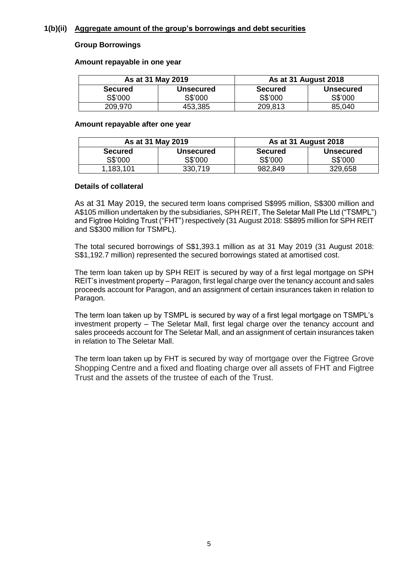### **1(b)(ii) Aggregate amount of the group's borrowings and debt securities**

### **Group Borrowings**

### **Amount repayable in one year**

|                | As at 31 May 2019 | <b>As at 31 August 2018</b> |                  |  |  |  |
|----------------|-------------------|-----------------------------|------------------|--|--|--|
| <b>Secured</b> | <b>Unsecured</b>  | <b>Secured</b>              | <b>Unsecured</b> |  |  |  |
| S\$'000        | S\$'000           | S\$'000                     | S\$'000          |  |  |  |
| 209,970        | 453,385           | 209,813                     | 85,040           |  |  |  |

### **Amount repayable after one year**

|                     | As at 31 May 2019 | <b>As at 31 August 2018</b> |                  |  |  |  |
|---------------------|-------------------|-----------------------------|------------------|--|--|--|
| <b>Secured</b>      | <b>Unsecured</b>  | <b>Secured</b>              | <b>Unsecured</b> |  |  |  |
| S\$'000             | S\$'000           | S\$'000                     | S\$'000          |  |  |  |
| $^{\circ}$ ,183,101 | 330,719           | 982,849                     | 329,658          |  |  |  |

### **Details of collateral**

As at 31 May 2019, the secured term loans comprised S\$995 million, S\$300 million and A\$105 million undertaken by the subsidiaries, SPH REIT, The Seletar Mall Pte Ltd ("TSMPL") and Figtree Holding Trust ("FHT") respectively (31 August 2018: S\$895 million for SPH REIT and S\$300 million for TSMPL).

The total secured borrowings of S\$1,393.1 million as at 31 May 2019 (31 August 2018: S\$1,192.7 million) represented the secured borrowings stated at amortised cost.

The term loan taken up by SPH REIT is secured by way of a first legal mortgage on SPH REIT's investment property – Paragon, first legal charge over the tenancy account and sales proceeds account for Paragon, and an assignment of certain insurances taken in relation to Paragon.

The term loan taken up by TSMPL is secured by way of a first legal mortgage on TSMPL's investment property – The Seletar Mall, first legal charge over the tenancy account and sales proceeds account for The Seletar Mall, and an assignment of certain insurances taken in relation to The Seletar Mall.

The term loan taken up by FHT is secured by way of mortgage over the Figtree Grove Shopping Centre and a fixed and floating charge over all assets of FHT and Figtree Trust and the assets of the trustee of each of the Trust.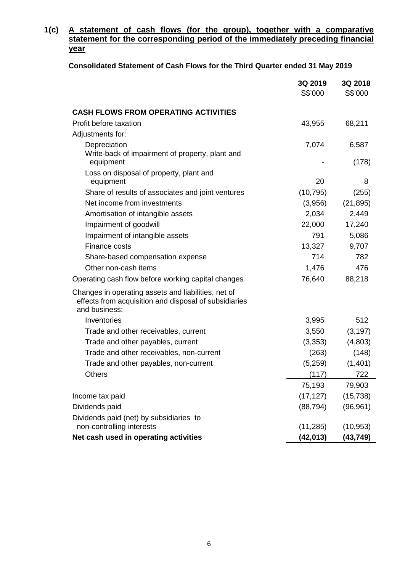### **1(c) A statement of cash flows (for the group), together with a comparative statement for the corresponding period of the immediately preceding financial year**

## **Consolidated Statement of Cash Flows for the Third Quarter ended 31 May 2019**

|                                                                                                                               | 3Q 2019   | 3Q 2018   |
|-------------------------------------------------------------------------------------------------------------------------------|-----------|-----------|
|                                                                                                                               | S\$'000   | S\$'000   |
| <b>CASH FLOWS FROM OPERATING ACTIVITIES</b>                                                                                   |           |           |
| Profit before taxation                                                                                                        | 43,955    | 68,211    |
| Adjustments for:                                                                                                              |           |           |
| Depreciation                                                                                                                  | 7,074     | 6,587     |
| Write-back of impairment of property, plant and<br>equipment                                                                  |           | (178)     |
| Loss on disposal of property, plant and<br>equipment                                                                          | 20        | 8         |
| Share of results of associates and joint ventures                                                                             | (10, 795) | (255)     |
| Net income from investments                                                                                                   | (3,956)   | (21, 895) |
| Amortisation of intangible assets                                                                                             | 2,034     | 2,449     |
| Impairment of goodwill                                                                                                        | 22,000    | 17,240    |
| Impairment of intangible assets                                                                                               | 791       | 5,086     |
| Finance costs                                                                                                                 | 13,327    | 9,707     |
| Share-based compensation expense                                                                                              | 714       | 782       |
| Other non-cash items                                                                                                          | 1,476     | 476       |
| Operating cash flow before working capital changes                                                                            | 76,640    | 88,218    |
| Changes in operating assets and liabilities, net of<br>effects from acquisition and disposal of subsidiaries<br>and business: |           |           |
| Inventories                                                                                                                   | 3,995     | 512       |
| Trade and other receivables, current                                                                                          | 3,550     | (3, 197)  |
| Trade and other payables, current                                                                                             | (3, 353)  | (4,803)   |
| Trade and other receivables, non-current                                                                                      | (263)     | (148)     |
| Trade and other payables, non-current                                                                                         | (5,259)   | (1,401)   |
| <b>Others</b>                                                                                                                 | (117)     | 722       |
|                                                                                                                               | 75,193    | 79,903    |
| Income tax paid                                                                                                               | (17, 127) | (15, 738) |
| Dividends paid                                                                                                                | (88, 794) | (96, 961) |
| Dividends paid (net) by subsidiaries to<br>non-controlling interests                                                          | (11,285)  | (10,953)  |
| Net cash used in operating activities                                                                                         | (42, 013) | (43, 749) |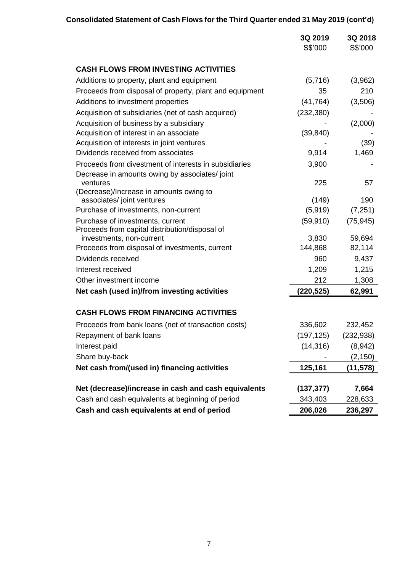|                                                                                                          | 3Q 2019<br>S\$'000    | 3Q 2018<br>S\$'000 |
|----------------------------------------------------------------------------------------------------------|-----------------------|--------------------|
| <b>CASH FLOWS FROM INVESTING ACTIVITIES</b>                                                              |                       |                    |
| Additions to property, plant and equipment                                                               | (5,716)               | (3,962)            |
| Proceeds from disposal of property, plant and equipment                                                  | 35                    | 210                |
| Additions to investment properties                                                                       | (41, 764)             | (3,506)            |
| Acquisition of subsidiaries (net of cash acquired)                                                       | (232, 380)            |                    |
| Acquisition of business by a subsidiary                                                                  |                       | (2,000)            |
| Acquisition of interest in an associate                                                                  | (39, 840)             |                    |
| Acquisition of interests in joint ventures                                                               |                       | (39)               |
| Dividends received from associates                                                                       | 9,914                 | 1,469              |
| Proceeds from divestment of interests in subsidiaries                                                    | 3,900                 |                    |
| Decrease in amounts owing by associates/joint                                                            |                       |                    |
| ventures<br>(Decrease)/Increase in amounts owing to                                                      | 225                   | 57                 |
| associates/ joint ventures                                                                               | (149)                 | 190                |
| Purchase of investments, non-current                                                                     | (5,919)               | (7,251)            |
| Purchase of investments, current                                                                         | (59, 910)             | (75, 945)          |
| Proceeds from capital distribution/disposal of                                                           |                       |                    |
| investments, non-current                                                                                 | 3,830                 | 59,694             |
| Proceeds from disposal of investments, current                                                           | 144,868               | 82,114             |
| Dividends received                                                                                       | 960                   | 9,437              |
| Interest received                                                                                        | 1,209                 | 1,215              |
| Other investment income                                                                                  | 212                   | 1,308              |
| Net cash (used in)/from investing activities                                                             | (220, 525)            | 62,991             |
| <b>CASH FLOWS FROM FINANCING ACTIVITIES</b>                                                              |                       |                    |
| Proceeds from bank loans (net of transaction costs)                                                      | 336,602               | 232,452            |
| Repayment of bank loans                                                                                  | (197, 125)            | (232, 938)         |
| Interest paid                                                                                            | (14, 316)             | (8,942)            |
| Share buy-back                                                                                           |                       | (2, 150)           |
| Net cash from/(used in) financing activities                                                             | 125,161               | (11, 578)          |
|                                                                                                          |                       |                    |
| Net (decrease)/increase in cash and cash equivalents<br>Cash and cash equivalents at beginning of period | (137, 377)<br>343,403 | 7,664<br>228,633   |
| Cash and cash equivalents at end of period                                                               | 206,026               | 236,297            |
|                                                                                                          |                       |                    |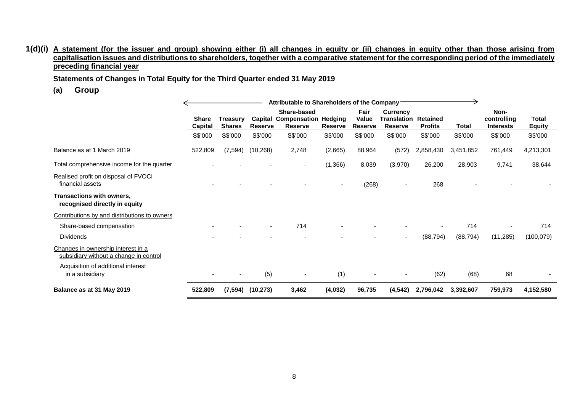### **1(d)(i) A statement (for the issuer and group) showing either (i) all changes in equity or (ii) changes in equity other than those arising from capitalisation issues and distributions to shareholders, together with a comparative statement for the corresponding period of the immediately preceding financial year**

**Statements of Changes in Total Equity for the Third Quarter ended 31 May 2019**

**(a) Group**

|                                                                                                                    |                         |                                  |                | Attributable to Shareholders of the Company                          |                |                                 |                                                                  |                |              |                                         |                               |
|--------------------------------------------------------------------------------------------------------------------|-------------------------|----------------------------------|----------------|----------------------------------------------------------------------|----------------|---------------------------------|------------------------------------------------------------------|----------------|--------------|-----------------------------------------|-------------------------------|
|                                                                                                                    | <b>Share</b><br>Capital | <b>Treasury</b><br><b>Shares</b> | <b>Reserve</b> | Share-based<br><b>Capital Compensation Hedging</b><br><b>Reserve</b> | <b>Reserve</b> | Fair<br>Value<br><b>Reserve</b> | <b>Currency</b><br><b>Translation Retained</b><br><b>Reserve</b> | <b>Profits</b> | <b>Total</b> | Non-<br>controlling<br><b>Interests</b> | <b>Total</b><br><b>Equity</b> |
|                                                                                                                    | S\$'000                 | S\$'000                          | S\$'000        | S\$'000                                                              | S\$'000        | S\$'000                         | S\$'000                                                          | S\$'000        | S\$'000      | S\$'000                                 | S\$'000                       |
| Balance as at 1 March 2019                                                                                         | 522,809                 | (7, 594)                         | (10, 268)      | 2,748                                                                | (2,665)        | 88,964                          | (572)                                                            | 2,858,430      | 3,451,852    | 761,449                                 | 4,213,301                     |
| Total comprehensive income for the quarter                                                                         |                         |                                  |                | ۰                                                                    | (1,366)        | 8,039                           | (3,970)                                                          | 26,200         | 28,903       | 9,741                                   | 38,644                        |
| Realised profit on disposal of FVOCI<br>financial assets                                                           |                         |                                  |                |                                                                      |                | (268)                           |                                                                  | 268            |              |                                         |                               |
| <b>Transactions with owners,</b><br>recognised directly in equity                                                  |                         |                                  |                |                                                                      |                |                                 |                                                                  |                |              |                                         |                               |
| Contributions by and distributions to owners                                                                       |                         |                                  |                |                                                                      |                |                                 |                                                                  |                |              |                                         |                               |
| Share-based compensation                                                                                           |                         |                                  | $\sim$         | 714                                                                  |                |                                 |                                                                  |                | 714          |                                         | 714                           |
| <b>Dividends</b>                                                                                                   |                         |                                  |                |                                                                      |                |                                 | ٠                                                                | (88, 794)      | (88, 794)    | (11, 285)                               | (100, 079)                    |
| Changes in ownership interest in a<br>subsidiary without a change in control<br>Acquisition of additional interest |                         |                                  |                |                                                                      |                |                                 |                                                                  |                |              |                                         |                               |
| in a subsidiary                                                                                                    |                         |                                  | (5)            | $\sim$                                                               | (1)            |                                 |                                                                  | (62)           | (68)         | 68                                      |                               |
| Balance as at 31 May 2019                                                                                          | 522,809                 | (7, 594)                         | (10, 273)      | 3,462                                                                | (4,032)        | 96,735                          | (4, 542)                                                         | 2,796,042      | 3,392,607    | 759,973                                 | 4,152,580                     |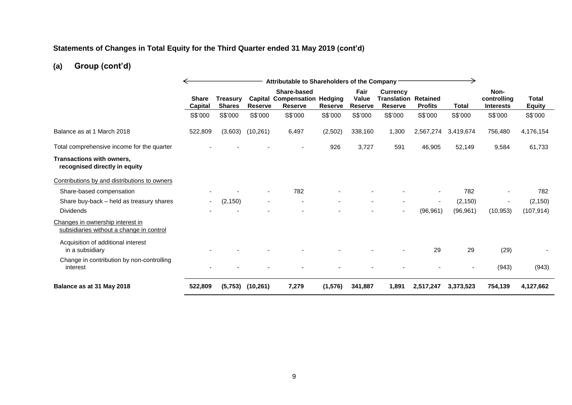# **Statements of Changes in Total Equity for the Third Quarter ended 31 May 2019 (cont'd)**

# **(a) Group (cont'd)**

|                                                                              | Attributable to Shareholders of the Company |                                  |                          |                                                                      |                |                                 |                                                                  |                |              |                                         |                               |
|------------------------------------------------------------------------------|---------------------------------------------|----------------------------------|--------------------------|----------------------------------------------------------------------|----------------|---------------------------------|------------------------------------------------------------------|----------------|--------------|-----------------------------------------|-------------------------------|
|                                                                              | <b>Share</b><br><b>Capital</b>              | <b>Treasury</b><br><b>Shares</b> | <b>Reserve</b>           | Share-based<br><b>Capital Compensation Hedging</b><br><b>Reserve</b> | <b>Reserve</b> | Fair<br>Value<br><b>Reserve</b> | <b>Currency</b><br><b>Translation Retained</b><br><b>Reserve</b> | <b>Profits</b> | <b>Total</b> | Non-<br>controlling<br><b>Interests</b> | <b>Total</b><br><b>Equity</b> |
|                                                                              | S\$'000                                     | S\$'000                          | S\$'000                  | S\$'000                                                              | S\$'000        | S\$'000                         | S\$'000                                                          | S\$'000        | S\$'000      | S\$'000                                 | S\$'000                       |
| Balance as at 1 March 2018                                                   | 522,809                                     | (3,603)                          | (10, 261)                | 6,497                                                                | (2,502)        | 338,160                         | 1,300                                                            | 2,567,274      | 3,419,674    | 756,480                                 | 4,176,154                     |
| Total comprehensive income for the quarter                                   |                                             |                                  |                          |                                                                      | 926            | 3,727                           | 591                                                              | 46,905         | 52,149       | 9,584                                   | 61,733                        |
| Transactions with owners,<br>recognised directly in equity                   |                                             |                                  |                          |                                                                      |                |                                 |                                                                  |                |              |                                         |                               |
| Contributions by and distributions to owners                                 |                                             |                                  |                          |                                                                      |                |                                 |                                                                  |                |              |                                         |                               |
| Share-based compensation                                                     |                                             |                                  |                          | 782                                                                  |                |                                 |                                                                  |                | 782          |                                         | 782                           |
| Share buy-back - held as treasury shares                                     | $\overline{\phantom{a}}$                    | (2, 150)                         | $\overline{\phantom{a}}$ |                                                                      |                |                                 | $\overline{\phantom{a}}$                                         | $\blacksquare$ | (2, 150)     | $\overline{\phantom{a}}$                | (2, 150)                      |
| <b>Dividends</b>                                                             |                                             |                                  |                          |                                                                      |                |                                 | $\blacksquare$                                                   | (96, 961)      | (96, 961)    | (10, 953)                               | (107, 914)                    |
| Changes in ownership interest in<br>subsidiaries without a change in control |                                             |                                  |                          |                                                                      |                |                                 |                                                                  |                |              |                                         |                               |
| Acquisition of additional interest<br>in a subsidiary                        |                                             |                                  |                          |                                                                      |                |                                 |                                                                  | 29             | 29           | (29)                                    |                               |
| Change in contribution by non-controlling<br>interest                        |                                             |                                  |                          |                                                                      |                |                                 |                                                                  |                |              | (943)                                   | (943)                         |
| Balance as at 31 May 2018                                                    | 522,809                                     | (5,753)                          | (10, 261)                | 7,279                                                                | (1, 576)       | 341,887                         | 1,891                                                            | 2,517,247      | 3,373,523    | 754,139                                 | 4,127,662                     |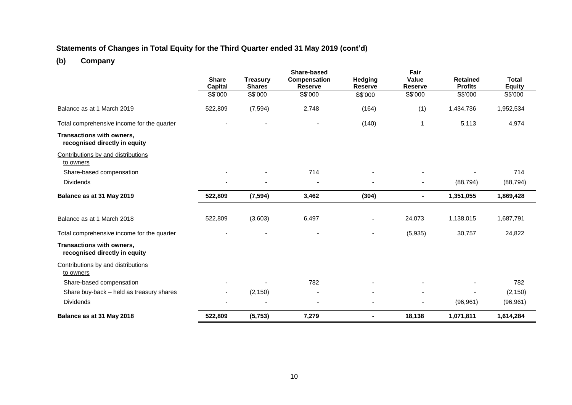# **Statements of Changes in Total Equity for the Third Quarter ended 31 May 2019 (cont'd)**

# **(b) Company**

|                                                            |                          |                 | <b>Share-based</b> |                | Fair           |                 |               |
|------------------------------------------------------------|--------------------------|-----------------|--------------------|----------------|----------------|-----------------|---------------|
|                                                            | <b>Share</b>             | <b>Treasury</b> | Compensation       | Hedging        | <b>Value</b>   | <b>Retained</b> | <b>Total</b>  |
|                                                            | Capital                  | <b>Shares</b>   | <b>Reserve</b>     | <b>Reserve</b> | <b>Reserve</b> | <b>Profits</b>  | <b>Equity</b> |
|                                                            | S\$'000                  | S\$'000         | S\$'000            | S\$'000        | S\$'000        | S\$'000         | S\$'000       |
| Balance as at 1 March 2019                                 | 522,809                  | (7, 594)        | 2,748              | (164)          | (1)            | 1,434,736       | 1,952,534     |
| Total comprehensive income for the quarter                 |                          |                 |                    | (140)          | 1              | 5,113           | 4,974         |
| Transactions with owners,<br>recognised directly in equity |                          |                 |                    |                |                |                 |               |
| Contributions by and distributions<br>to owners            |                          |                 |                    |                |                |                 |               |
| Share-based compensation                                   |                          |                 | 714                |                |                |                 | 714           |
| <b>Dividends</b>                                           |                          |                 |                    |                | ٠              | (88, 794)       | (88, 794)     |
| Balance as at 31 May 2019                                  | 522,809                  | (7, 594)        | 3,462              | (304)          | $\blacksquare$ | 1,351,055       | 1,869,428     |
|                                                            |                          |                 |                    |                |                |                 |               |
| Balance as at 1 March 2018                                 | 522,809                  | (3,603)         | 6,497              |                | 24,073         | 1,138,015       | 1,687,791     |
| Total comprehensive income for the quarter                 |                          |                 |                    |                | (5,935)        | 30,757          | 24,822        |
| Transactions with owners,<br>recognised directly in equity |                          |                 |                    |                |                |                 |               |
| Contributions by and distributions<br>to owners            |                          |                 |                    |                |                |                 |               |
| Share-based compensation                                   |                          |                 | 782                |                |                |                 | 782           |
| Share buy-back - held as treasury shares                   | $\overline{\phantom{a}}$ | (2, 150)        | $\overline{a}$     |                |                |                 | (2, 150)      |
| <b>Dividends</b>                                           |                          |                 |                    |                |                | (96, 961)       | (96, 961)     |
| Balance as at 31 May 2018                                  | 522,809                  | (5, 753)        | 7,279              | Ξ.             | 18,138         | 1,071,811       | 1,614,284     |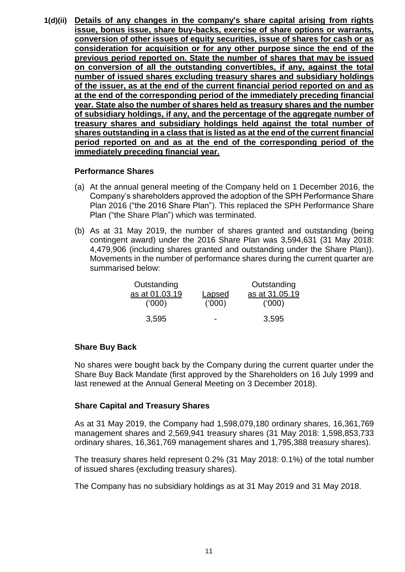**1(d)(ii) Details of any changes in the company's share capital arising from rights issue, bonus issue, share buy-backs, exercise of share options or warrants, conversion of other issues of equity securities, issue of shares for cash or as consideration for acquisition or for any other purpose since the end of the previous period reported on. State the number of shares that may be issued on conversion of all the outstanding convertibles, if any, against the total number of issued shares excluding treasury shares and subsidiary holdings of the issuer, as at the end of the current financial period reported on and as at the end of the corresponding period of the immediately preceding financial year. State also the number of shares held as treasury shares and the number of subsidiary holdings, if any, and the percentage of the aggregate number of treasury shares and subsidiary holdings held against the total number of shares outstanding in a class that is listed as at the end of the current financial period reported on and as at the end of the corresponding period of the immediately preceding financial year.** 

### **Performance Shares**

- (a) At the annual general meeting of the Company held on 1 December 2016, the Company's shareholders approved the adoption of the SPH Performance Share Plan 2016 ("the 2016 Share Plan"). This replaced the SPH Performance Share Plan ("the Share Plan") which was terminated.
- (b) As at 31 May 2019, the number of shares granted and outstanding (being contingent award) under the 2016 Share Plan was 3,594,631 (31 May 2018: 4,479,906 (including shares granted and outstanding under the Share Plan)). Movements in the number of performance shares during the current quarter are summarised below:

| Outstanding    |        | Outstanding    |
|----------------|--------|----------------|
| as at 01.03.19 | Lapsed | as at 31.05.19 |
| (000)          | (000)  | (000)          |
| 3,595          |        | 3,595          |

### **Share Buy Back**

No shares were bought back by the Company during the current quarter under the Share Buy Back Mandate (first approved by the Shareholders on 16 July 1999 and last renewed at the Annual General Meeting on 3 December 2018).

### **Share Capital and Treasury Shares**

As at 31 May 2019, the Company had 1,598,079,180 ordinary shares, 16,361,769 management shares and 2,569,941 treasury shares (31 May 2018: 1,598,853,733 ordinary shares, 16,361,769 management shares and 1,795,388 treasury shares).

The treasury shares held represent 0.2% (31 May 2018: 0.1%) of the total number of issued shares (excluding treasury shares).

The Company has no subsidiary holdings as at 31 May 2019 and 31 May 2018.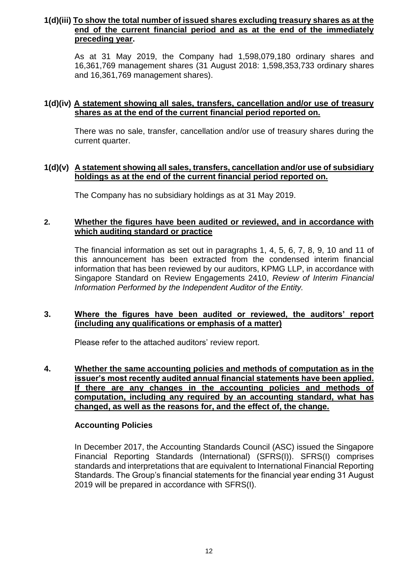## **1(d)(iii) To show the total number of issued shares excluding treasury shares as at the end of the current financial period and as at the end of the immediately preceding year.**

As at 31 May 2019, the Company had 1,598,079,180 ordinary shares and 16,361,769 management shares (31 August 2018: 1,598,353,733 ordinary shares and 16,361,769 management shares).

## **1(d)(iv) A statement showing all sales, transfers, cancellation and/or use of treasury shares as at the end of the current financial period reported on.**

There was no sale, transfer, cancellation and/or use of treasury shares during the current quarter.

### **1(d)(v) A statement showing all sales, transfers, cancellation and/or use of subsidiary holdings as at the end of the current financial period reported on.**

The Company has no subsidiary holdings as at 31 May 2019.

## **2. Whether the figures have been audited or reviewed, and in accordance with which auditing standard or practice**

The financial information as set out in paragraphs 1, 4, 5, 6, 7, 8, 9, 10 and 11 of this announcement has been extracted from the condensed interim financial information that has been reviewed by our auditors, KPMG LLP, in accordance with Singapore Standard on Review Engagements 2410, *Review of Interim Financial Information Performed by the Independent Auditor of the Entity.*

### **3. Where the figures have been audited or reviewed, the auditors' report (including any qualifications or emphasis of a matter)**

Please refer to the attached auditors' review report.

**4. Whether the same accounting policies and methods of computation as in the issuer's most recently audited annual financial statements have been applied. If there are any changes in the accounting policies and methods of computation, including any required by an accounting standard, what has changed, as well as the reasons for, and the effect of, the change.**

### **Accounting Policies**

In December 2017, the Accounting Standards Council (ASC) issued the Singapore Financial Reporting Standards (International) (SFRS(I)). SFRS(I) comprises standards and interpretations that are equivalent to International Financial Reporting Standards. The Group's financial statements for the financial year ending 31 August 2019 will be prepared in accordance with SFRS(I).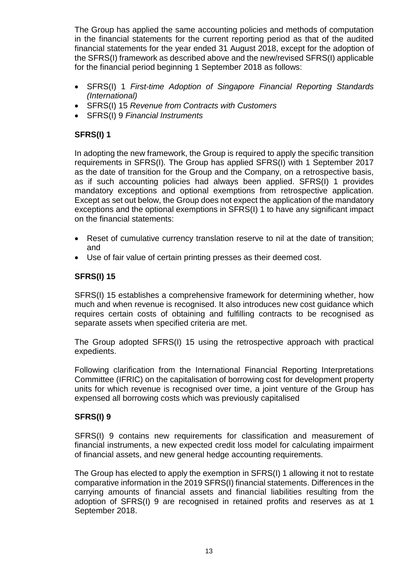The Group has applied the same accounting policies and methods of computation in the financial statements for the current reporting period as that of the audited financial statements for the year ended 31 August 2018, except for the adoption of the SFRS(I) framework as described above and the new/revised SFRS(I) applicable for the financial period beginning 1 September 2018 as follows:

- SFRS(I) 1 *First-time Adoption of Singapore Financial Reporting Standards (International)*
- SFRS(I) 15 *Revenue from Contracts with Customers*
- SFRS(I) 9 *Financial Instruments*

# **SFRS(I) 1**

In adopting the new framework, the Group is required to apply the specific transition requirements in SFRS(I)*.* The Group has applied SFRS(I) with 1 September 2017 as the date of transition for the Group and the Company, on a retrospective basis, as if such accounting policies had always been applied. SFRS(I) 1 provides mandatory exceptions and optional exemptions from retrospective application. Except as set out below, the Group does not expect the application of the mandatory exceptions and the optional exemptions in SFRS(I) 1 to have any significant impact on the financial statements:

- Reset of cumulative currency translation reserve to nil at the date of transition; and
- Use of fair value of certain printing presses as their deemed cost.

# **SFRS(I) 15**

SFRS(I) 15 establishes a comprehensive framework for determining whether, how much and when revenue is recognised. It also introduces new cost guidance which requires certain costs of obtaining and fulfilling contracts to be recognised as separate assets when specified criteria are met.

The Group adopted SFRS(I) 15 using the retrospective approach with practical expedients.

Following clarification from the International Financial Reporting Interpretations Committee (IFRIC) on the capitalisation of borrowing cost for development property units for which revenue is recognised over time, a joint venture of the Group has expensed all borrowing costs which was previously capitalised

# **SFRS(I) 9**

SFRS(I) 9 contains new requirements for classification and measurement of financial instruments, a new expected credit loss model for calculating impairment of financial assets, and new general hedge accounting requirements.

The Group has elected to apply the exemption in SFRS(I) 1 allowing it not to restate comparative information in the 2019 SFRS(I) financial statements. Differences in the carrying amounts of financial assets and financial liabilities resulting from the adoption of SFRS(I) 9 are recognised in retained profits and reserves as at 1 September 2018.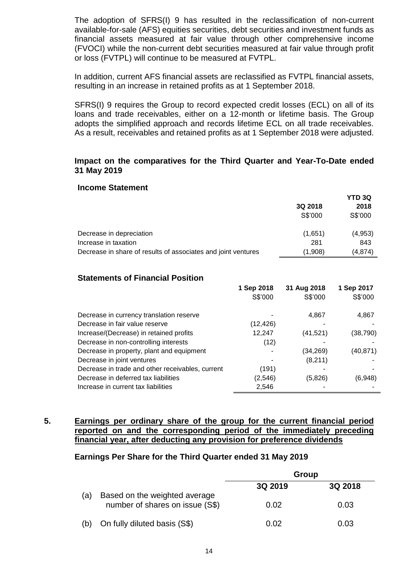The adoption of SFRS(I) 9 has resulted in the reclassification of non-current available-for-sale (AFS) equities securities, debt securities and investment funds as financial assets measured at fair value through other comprehensive income (FVOCI) while the non-current debt securities measured at fair value through profit or loss (FVTPL) will continue to be measured at FVTPL.

In addition, current AFS financial assets are reclassified as FVTPL financial assets, resulting in an increase in retained profits as at 1 September 2018.

SFRS(I) 9 requires the Group to record expected credit losses (ECL) on all of its loans and trade receivables, either on a 12-month or lifetime basis. The Group adopts the simplified approach and records lifetime ECL on all trade receivables. As a result, receivables and retained profits as at 1 September 2018 were adjusted.

### **Impact on the comparatives for the Third Quarter and Year-To-Date ended 31 May 2019**

### **Income Statement**

|                                                               |         | <b>YTD 3Q</b> |
|---------------------------------------------------------------|---------|---------------|
|                                                               | 3Q 2018 | 2018          |
|                                                               | S\$'000 | S\$'000       |
| Decrease in depreciation                                      | (1,651) | (4,953)       |
| Increase in taxation                                          | 281     | 843           |
| Decrease in share of results of associates and joint ventures | (1,908) | (4,874)       |

### **Statements of Financial Position**

|                                                  | 1 Sep 2018 | 31 Aug 2018 | 1 Sep 2017 |
|--------------------------------------------------|------------|-------------|------------|
|                                                  | S\$'000    | S\$'000     | S\$'000    |
| Decrease in currency translation reserve         |            | 4,867       | 4,867      |
| Decrease in fair value reserve                   | (12,426)   |             |            |
| Increase/(Decrease) in retained profits          | 12,247     | (41, 521)   | (38,790)   |
| Decrease in non-controlling interests            | (12)       |             |            |
| Decrease in property, plant and equipment        |            | (34, 269)   | (40, 871)  |
| Decrease in joint ventures                       |            | (8,211)     |            |
| Decrease in trade and other receivables, current | (191)      |             |            |
| Decrease in deferred tax liabilities             | (2, 546)   | (5,826)     | (6,948)    |
| Increase in current tax liabilities              | 2,546      |             |            |

### **5. Earnings per ordinary share of the group for the current financial period reported on and the corresponding period of the immediately preceding financial year, after deducting any provision for preference dividends**

### **Earnings Per Share for the Third Quarter ended 31 May 2019**

|     |                                                                  | Group   |         |  |
|-----|------------------------------------------------------------------|---------|---------|--|
|     |                                                                  | 3Q 2019 | 3Q 2018 |  |
| (a) | Based on the weighted average<br>number of shares on issue (S\$) | 0.02    | 0.03    |  |
| (b) | On fully diluted basis (S\$)                                     | 0.02    | 0.03    |  |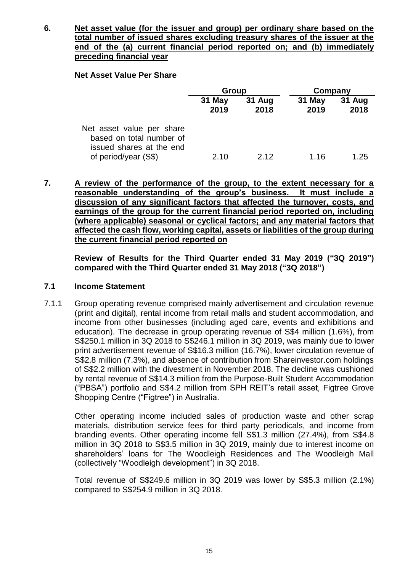**6. Net asset value (for the issuer and group) per ordinary share based on the total number of issued shares excluding treasury shares of the issuer at the end of the (a) current financial period reported on; and (b) immediately preceding financial year**

### **Net Asset Value Per Share**

| 31 May<br>2019 | 31 Aug<br>2018 | 31 May<br>2019 | <b>31 Aug</b> |
|----------------|----------------|----------------|---------------|
|                |                |                | 2018          |
|                |                |                | 1.25          |
|                | 2.10           | 2 12           | 1.16          |

**7. A review of the performance of the group, to the extent necessary for a reasonable understanding of the group's business. It must include a discussion of any significant factors that affected the turnover, costs, and earnings of the group for the current financial period reported on, including (where applicable) seasonal or cyclical factors; and any material factors that affected the cash flow, working capital, assets or liabilities of the group during the current financial period reported on**

**Review of Results for the Third Quarter ended 31 May 2019 ("3Q 2019") compared with the Third Quarter ended 31 May 2018 ("3Q 2018")**

### **7.1 Income Statement**

7.1.1 Group operating revenue comprised mainly advertisement and circulation revenue (print and digital), rental income from retail malls and student accommodation, and income from other businesses (including aged care, events and exhibitions and education). The decrease in group operating revenue of S\$4 million (1.6%), from S\$250.1 million in 3Q 2018 to S\$246.1 million in 3Q 2019, was mainly due to lower print advertisement revenue of S\$16.3 million (16.7%), lower circulation revenue of S\$2.8 million (7.3%), and absence of contribution from Shareinvestor.com holdings of S\$2.2 million with the divestment in November 2018. The decline was cushioned by rental revenue of S\$14.3 million from the Purpose-Built Student Accommodation ("PBSA") portfolio and S\$4.2 million from SPH REIT's retail asset, Figtree Grove Shopping Centre ("Figtree") in Australia.

Other operating income included sales of production waste and other scrap materials, distribution service fees for third party periodicals, and income from branding events. Other operating income fell S\$1.3 million (27.4%), from S\$4.8 million in 3Q 2018 to S\$3.5 million in 3Q 2019, mainly due to interest income on shareholders' loans for The Woodleigh Residences and The Woodleigh Mall (collectively "Woodleigh development") in 3Q 2018.

Total revenue of S\$249.6 million in 3Q 2019 was lower by S\$5.3 million (2.1%) compared to S\$254.9 million in 3Q 2018.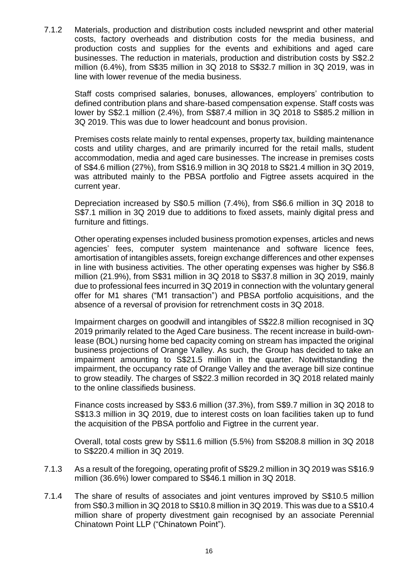7.1.2 Materials, production and distribution costs included newsprint and other material costs, factory overheads and distribution costs for the media business, and production costs and supplies for the events and exhibitions and aged care businesses. The reduction in materials, production and distribution costs by S\$2.2 million (6.4%), from S\$35 million in 3Q 2018 to S\$32.7 million in 3Q 2019, was in line with lower revenue of the media business.

Staff costs comprised salaries, bonuses, allowances, employers' contribution to defined contribution plans and share-based compensation expense. Staff costs was lower by S\$2.1 million (2.4%), from S\$87.4 million in 3Q 2018 to S\$85.2 million in 3Q 2019. This was due to lower headcount and bonus provision.

Premises costs relate mainly to rental expenses, property tax, building maintenance costs and utility charges, and are primarily incurred for the retail malls, student accommodation, media and aged care businesses. The increase in premises costs of S\$4.6 million (27%), from S\$16.9 million in 3Q 2018 to S\$21.4 million in 3Q 2019, was attributed mainly to the PBSA portfolio and Figtree assets acquired in the current year.

Depreciation increased by S\$0.5 million (7.4%), from S\$6.6 million in 3Q 2018 to S\$7.1 million in 3Q 2019 due to additions to fixed assets, mainly digital press and furniture and fittings.

Other operating expenses included business promotion expenses, articles and news agencies' fees, computer system maintenance and software licence fees, amortisation of intangibles assets, foreign exchange differences and other expenses in line with business activities. The other operating expenses was higher by S\$6.8 million (21.9%), from S\$31 million in 3Q 2018 to S\$37.8 million in 3Q 2019, mainly due to professional fees incurred in 3Q 2019 in connection with the voluntary general offer for M1 shares ("M1 transaction") and PBSA portfolio acquisitions, and the absence of a reversal of provision for retrenchment costs in 3Q 2018.

Impairment charges on goodwill and intangibles of S\$22.8 million recognised in 3Q 2019 primarily related to the Aged Care business. The recent increase in build-ownlease (BOL) nursing home bed capacity coming on stream has impacted the original business projections of Orange Valley. As such, the Group has decided to take an impairment amounting to S\$21.5 million in the quarter. Notwithstanding the impairment, the occupancy rate of Orange Valley and the average bill size continue to grow steadily. The charges of S\$22.3 million recorded in 3Q 2018 related mainly to the online classifieds business.

Finance costs increased by S\$3.6 million (37.3%), from S\$9.7 million in 3Q 2018 to S\$13.3 million in 3Q 2019, due to interest costs on loan facilities taken up to fund the acquisition of the PBSA portfolio and Figtree in the current year.

Overall, total costs grew by S\$11.6 million (5.5%) from S\$208.8 million in 3Q 2018 to S\$220.4 million in 3Q 2019.

- 7.1.3 As a result of the foregoing, operating profit of S\$29.2 million in 3Q 2019 was S\$16.9 million (36.6%) lower compared to S\$46.1 million in 3Q 2018.
- 7.1.4 The share of results of associates and joint ventures improved by S\$10.5 million from S\$0.3 million in 3Q 2018 to S\$10.8 million in 3Q 2019. This was due to a S\$10.4 million share of property divestment gain recognised by an associate Perennial Chinatown Point LLP ("Chinatown Point").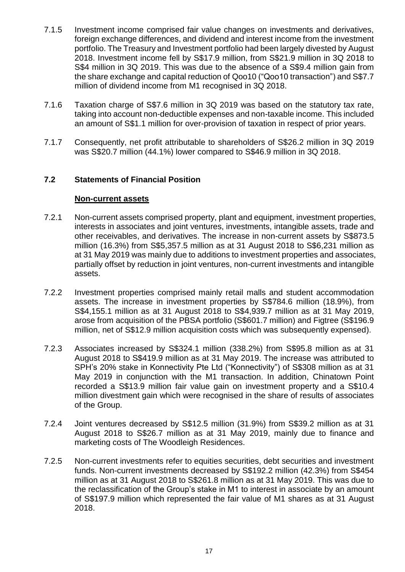- 7.1.5 Investment income comprised fair value changes on investments and derivatives, foreign exchange differences, and dividend and interest income from the investment portfolio. The Treasury and Investment portfolio had been largely divested by August 2018. Investment income fell by S\$17.9 million, from S\$21.9 million in 3Q 2018 to S\$4 million in 3Q 2019. This was due to the absence of a S\$9.4 million gain from the share exchange and capital reduction of Qoo10 ("Qoo10 transaction") and S\$7.7 million of dividend income from M1 recognised in 3Q 2018.
- 7.1.6 Taxation charge of S\$7.6 million in 3Q 2019 was based on the statutory tax rate, taking into account non-deductible expenses and non-taxable income. This included an amount of S\$1.1 million for over-provision of taxation in respect of prior years.
- 7.1.7 Consequently, net profit attributable to shareholders of S\$26.2 million in 3Q 2019 was S\$20.7 million (44.1%) lower compared to S\$46.9 million in 3Q 2018.

### **7.2 Statements of Financial Position**

### **Non-current assets**

- 7.2.1 Non-current assets comprised property, plant and equipment, investment properties, interests in associates and joint ventures, investments, intangible assets, trade and other receivables, and derivatives. The increase in non-current assets by S\$873.5 million (16.3%) from S\$5,357.5 million as at 31 August 2018 to S\$6,231 million as at 31 May 2019 was mainly due to additions to investment properties and associates, partially offset by reduction in joint ventures, non-current investments and intangible assets.
- 7.2.2 Investment properties comprised mainly retail malls and student accommodation assets. The increase in investment properties by S\$784.6 million (18.9%), from S\$4,155.1 million as at 31 August 2018 to S\$4,939.7 million as at 31 May 2019, arose from acquisition of the PBSA portfolio (S\$601.7 million) and Figtree (S\$196.9 million, net of S\$12.9 million acquisition costs which was subsequently expensed).
- 7.2.3 Associates increased by S\$324.1 million (338.2%) from S\$95.8 million as at 31 August 2018 to S\$419.9 million as at 31 May 2019. The increase was attributed to SPH's 20% stake in Konnectivity Pte Ltd ("Konnectivity") of S\$308 million as at 31 May 2019 in conjunction with the M1 transaction. In addition, Chinatown Point recorded a S\$13.9 million fair value gain on investment property and a S\$10.4 million divestment gain which were recognised in the share of results of associates of the Group.
- 7.2.4 Joint ventures decreased by S\$12.5 million (31.9%) from S\$39.2 million as at 31 August 2018 to S\$26.7 million as at 31 May 2019, mainly due to finance and marketing costs of The Woodleigh Residences.
- 7.2.5 Non-current investments refer to equities securities, debt securities and investment funds. Non-current investments decreased by S\$192.2 million (42.3%) from S\$454 million as at 31 August 2018 to S\$261.8 million as at 31 May 2019. This was due to the reclassification of the Group's stake in M1 to interest in associate by an amount of S\$197.9 million which represented the fair value of M1 shares as at 31 August 2018.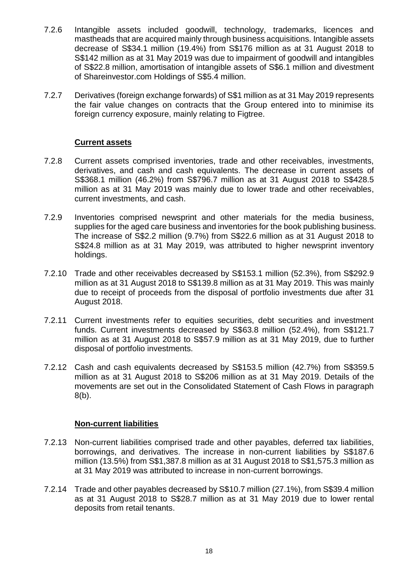- 7.2.6 Intangible assets included goodwill, technology, trademarks, licences and mastheads that are acquired mainly through business acquisitions. Intangible assets decrease of S\$34.1 million (19.4%) from S\$176 million as at 31 August 2018 to S\$142 million as at 31 May 2019 was due to impairment of goodwill and intangibles of S\$22.8 million, amortisation of intangible assets of S\$6.1 million and divestment of Shareinvestor.com Holdings of S\$5.4 million.
- 7.2.7 Derivatives (foreign exchange forwards) of S\$1 million as at 31 May 2019 represents the fair value changes on contracts that the Group entered into to minimise its foreign currency exposure, mainly relating to Figtree.

### **Current assets**

- 7.2.8 Current assets comprised inventories, trade and other receivables, investments, derivatives, and cash and cash equivalents. The decrease in current assets of S\$368.1 million (46.2%) from S\$796.7 million as at 31 August 2018 to S\$428.5 million as at 31 May 2019 was mainly due to lower trade and other receivables, current investments, and cash.
- 7.2.9 Inventories comprised newsprint and other materials for the media business, supplies for the aged care business and inventories for the book publishing business. The increase of S\$2.2 million (9.7%) from S\$22.6 million as at 31 August 2018 to S\$24.8 million as at 31 May 2019, was attributed to higher newsprint inventory holdings.
- 7.2.10 Trade and other receivables decreased by S\$153.1 million (52.3%), from S\$292.9 million as at 31 August 2018 to S\$139.8 million as at 31 May 2019. This was mainly due to receipt of proceeds from the disposal of portfolio investments due after 31 August 2018.
- 7.2.11 Current investments refer to equities securities, debt securities and investment funds. Current investments decreased by S\$63.8 million (52.4%), from S\$121.7 million as at 31 August 2018 to S\$57.9 million as at 31 May 2019, due to further disposal of portfolio investments.
- 7.2.12 Cash and cash equivalents decreased by S\$153.5 million (42.7%) from S\$359.5 million as at 31 August 2018 to S\$206 million as at 31 May 2019. Details of the movements are set out in the Consolidated Statement of Cash Flows in paragraph 8(b).

### **Non-current liabilities**

- 7.2.13 Non-current liabilities comprised trade and other payables, deferred tax liabilities, borrowings, and derivatives. The increase in non-current liabilities by S\$187.6 million (13.5%) from S\$1,387.8 million as at 31 August 2018 to S\$1,575.3 million as at 31 May 2019 was attributed to increase in non-current borrowings.
- 7.2.14 Trade and other payables decreased by S\$10.7 million (27.1%), from S\$39.4 million as at 31 August 2018 to S\$28.7 million as at 31 May 2019 due to lower rental deposits from retail tenants.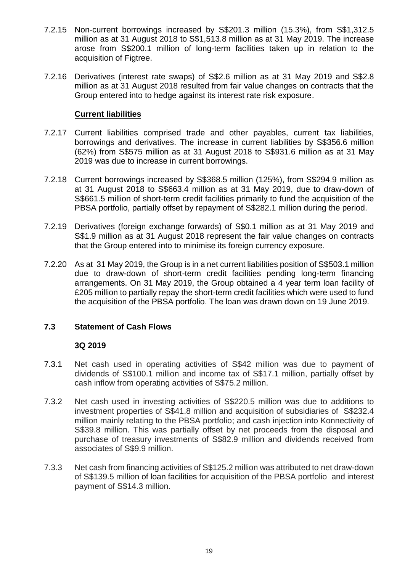- 7.2.15 Non-current borrowings increased by S\$201.3 million (15.3%), from S\$1,312.5 million as at 31 August 2018 to S\$1,513.8 million as at 31 May 2019. The increase arose from S\$200.1 million of long-term facilities taken up in relation to the acquisition of Figtree.
- 7.2.16 Derivatives (interest rate swaps) of S\$2.6 million as at 31 May 2019 and S\$2.8 million as at 31 August 2018 resulted from fair value changes on contracts that the Group entered into to hedge against its interest rate risk exposure.

### **Current liabilities**

- 7.2.17 Current liabilities comprised trade and other payables, current tax liabilities, borrowings and derivatives. The increase in current liabilities by S\$356.6 million (62%) from S\$575 million as at 31 August 2018 to S\$931.6 million as at 31 May 2019 was due to increase in current borrowings.
- 7.2.18 Current borrowings increased by S\$368.5 million (125%), from S\$294.9 million as at 31 August 2018 to S\$663.4 million as at 31 May 2019, due to draw-down of S\$661.5 million of short-term credit facilities primarily to fund the acquisition of the PBSA portfolio, partially offset by repayment of S\$282.1 million during the period.
- 7.2.19 Derivatives (foreign exchange forwards) of S\$0.1 million as at 31 May 2019 and S\$1.9 million as at 31 August 2018 represent the fair value changes on contracts that the Group entered into to minimise its foreign currency exposure.
- 7.2.20 As at 31 May 2019, the Group is in a net current liabilities position of S\$503.1 million due to draw-down of short-term credit facilities pending long-term financing arrangements. On 31 May 2019, the Group obtained a 4 year term loan facility of £205 million to partially repay the short-term credit facilities which were used to fund the acquisition of the PBSA portfolio. The loan was drawn down on 19 June 2019.

## **7.3 Statement of Cash Flows**

### **3Q 2019**

- 7.3.1 Net cash used in operating activities of S\$42 million was due to payment of dividends of S\$100.1 million and income tax of S\$17.1 million, partially offset by cash inflow from operating activities of S\$75.2 million.
- 7.3.2 Net cash used in investing activities of S\$220.5 million was due to additions to investment properties of S\$41.8 million and acquisition of subsidiaries of S\$232.4 million mainly relating to the PBSA portfolio; and cash injection into Konnectivity of S\$39.8 million. This was partially offset by net proceeds from the disposal and purchase of treasury investments of S\$82.9 million and dividends received from associates of S\$9.9 million.
- 7.3.3 Net cash from financing activities of S\$125.2 million was attributed to net draw-down of S\$139.5 million of loan facilities for acquisition of the PBSA portfolio and interest payment of S\$14.3 million.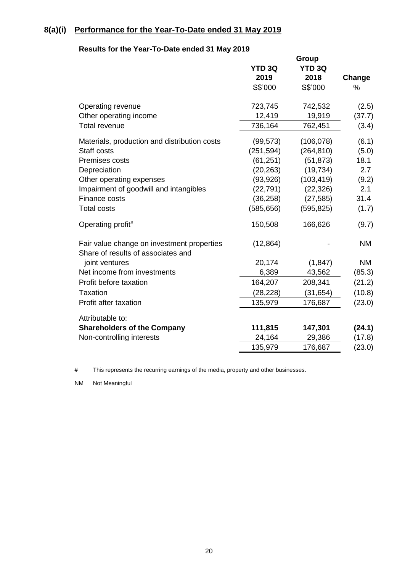# **8(a)(i) Performance for the Year-To-Date ended 31 May 2019**

### **Results for the Year-To-Date ended 31 May 2019**

|                                                                                  |               | Group         |           |
|----------------------------------------------------------------------------------|---------------|---------------|-----------|
|                                                                                  | <b>YTD 3Q</b> | <b>YTD 3Q</b> |           |
|                                                                                  | 2019          | 2018          | Change    |
|                                                                                  | S\$'000       | S\$'000       | %         |
| Operating revenue                                                                | 723,745       | 742,532       | (2.5)     |
| Other operating income                                                           | 12,419        | 19,919        | (37.7)    |
| Total revenue                                                                    | 736,164       | 762,451       | (3.4)     |
| Materials, production and distribution costs                                     | (99, 573)     | (106, 078)    | (6.1)     |
| Staff costs                                                                      | (251, 594)    | (264, 810)    | (5.0)     |
| Premises costs                                                                   | (61, 251)     | (51, 873)     | 18.1      |
| Depreciation                                                                     | (20, 263)     | (19, 734)     | 2.7       |
| Other operating expenses                                                         | (93, 926)     | (103, 419)    | (9.2)     |
| Impairment of goodwill and intangibles                                           | (22, 791)     | (22, 326)     | 2.1       |
| Finance costs                                                                    | (36, 258)     | (27, 585)     | 31.4      |
| <b>Total costs</b>                                                               | (585, 656)    | (595, 825)    | (1.7)     |
| Operating profit#                                                                | 150,508       | 166,626       | (9.7)     |
| Fair value change on investment properties<br>Share of results of associates and | (12, 864)     |               | <b>NM</b> |
| joint ventures                                                                   | 20,174        | (1, 847)      | <b>NM</b> |
| Net income from investments                                                      | 6,389         | 43,562        | (85.3)    |
| Profit before taxation                                                           | 164,207       | 208,341       | (21.2)    |
| <b>Taxation</b>                                                                  | (28, 228)     | (31, 654)     | (10.8)    |
| Profit after taxation                                                            | 135,979       | 176,687       | (23.0)    |
| Attributable to:                                                                 |               |               |           |
| <b>Shareholders of the Company</b>                                               | 111,815       | 147,301       | (24.1)    |
| Non-controlling interests                                                        | 24,164        | 29,386        | (17.8)    |
|                                                                                  | 135,979       | 176,687       | (23.0)    |

# This represents the recurring earnings of the media, property and other businesses.

NM Not Meaningful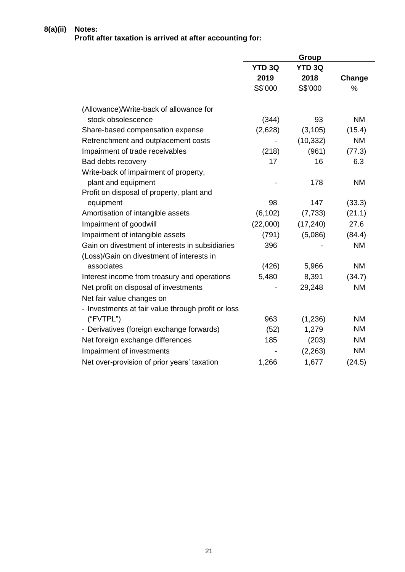### **8(a)(ii) Notes: Profit after taxation is arrived at after accounting for:**

|                                                    |               | Group         |           |
|----------------------------------------------------|---------------|---------------|-----------|
|                                                    | <b>YTD 3Q</b> | <b>YTD 3Q</b> |           |
|                                                    | 2019          | 2018          | Change    |
|                                                    | S\$'000       | S\$'000       | %         |
| (Allowance)/Write-back of allowance for            |               |               |           |
| stock obsolescence                                 | (344)         | 93            | <b>NM</b> |
| Share-based compensation expense                   | (2,628)       | (3, 105)      | (15.4)    |
| Retrenchment and outplacement costs                |               | (10, 332)     | <b>NM</b> |
| Impairment of trade receivables                    | (218)         | (961)         | (77.3)    |
| Bad debts recovery                                 | 17            | 16            | 6.3       |
| Write-back of impairment of property,              |               |               |           |
| plant and equipment                                |               | 178           | <b>NM</b> |
| Profit on disposal of property, plant and          |               |               |           |
| equipment                                          | 98            | 147           | (33.3)    |
| Amortisation of intangible assets                  | (6, 102)      | (7, 733)      | (21.1)    |
| Impairment of goodwill                             | (22,000)      | (17, 240)     | 27.6      |
| Impairment of intangible assets                    | (791)         | (5,086)       | (84.4)    |
| Gain on divestment of interests in subsidiaries    | 396           |               | <b>NM</b> |
| (Loss)/Gain on divestment of interests in          |               |               |           |
| associates                                         | (426)         | 5,966         | <b>NM</b> |
| Interest income from treasury and operations       | 5,480         | 8,391         | (34.7)    |
| Net profit on disposal of investments              |               | 29,248        | <b>NM</b> |
| Net fair value changes on                          |               |               |           |
| - Investments at fair value through profit or loss |               |               |           |
| ("FVTPL")                                          | 963           | (1,236)       | <b>NM</b> |
| - Derivatives (foreign exchange forwards)          | (52)          | 1,279         | <b>NM</b> |
| Net foreign exchange differences                   | 185           | (203)         | <b>NM</b> |
| Impairment of investments                          |               | (2, 263)      | <b>NM</b> |
| Net over-provision of prior years' taxation        | 1,266         | 1,677         | (24.5)    |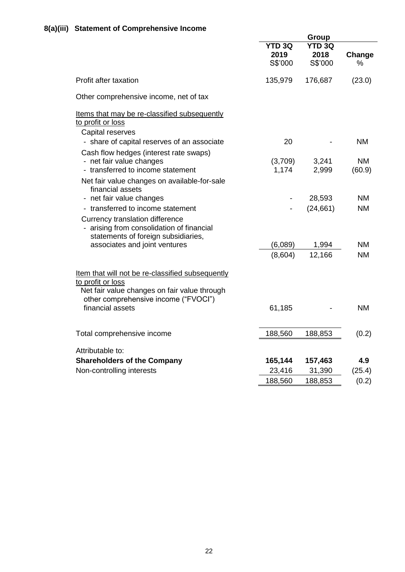|                                                                                                                       | <b>Group</b>                     |                                  |             |
|-----------------------------------------------------------------------------------------------------------------------|----------------------------------|----------------------------------|-------------|
|                                                                                                                       | <b>YTD 3Q</b><br>2019<br>S\$'000 | <b>YTD 3Q</b><br>2018<br>S\$'000 | Change<br>℅ |
| Profit after taxation                                                                                                 | 135,979                          | 176,687                          | (23.0)      |
| Other comprehensive income, net of tax                                                                                |                                  |                                  |             |
| Items that may be re-classified subsequently<br>to profit or loss<br>Capital reserves                                 |                                  |                                  |             |
| - share of capital reserves of an associate<br>Cash flow hedges (interest rate swaps)                                 | 20                               |                                  | <b>NM</b>   |
| - net fair value changes                                                                                              | (3,709)                          | 3,241                            | <b>NM</b>   |
| - transferred to income statement                                                                                     | 1,174                            | 2,999                            | (60.9)      |
| Net fair value changes on available-for-sale<br>financial assets                                                      |                                  |                                  |             |
| - net fair value changes                                                                                              |                                  | 28,593                           | <b>NM</b>   |
| - transferred to income statement                                                                                     |                                  | (24, 661)                        | <b>NM</b>   |
| Currency translation difference<br>- arising from consolidation of financial<br>statements of foreign subsidiaries,   |                                  |                                  |             |
| associates and joint ventures                                                                                         | (6,089)                          | 1,994                            | <b>NM</b>   |
|                                                                                                                       | (8,604)                          | 12,166                           | <b>NM</b>   |
| Item that will not be re-classified subsequently<br>to profit or loss<br>Net fair value changes on fair value through |                                  |                                  |             |
| other comprehensive income ("FVOCI")<br>financial assets                                                              | 61,185                           |                                  | <b>NM</b>   |
| Total comprehensive income                                                                                            | 188,560                          | 188,853                          | (0.2)       |
| Attributable to:                                                                                                      |                                  |                                  |             |
| <b>Shareholders of the Company</b>                                                                                    | 165,144                          | 157,463                          | 4.9         |
| Non-controlling interests                                                                                             | 23,416                           | 31,390                           | (25.4)      |
|                                                                                                                       | 188,560                          | 188,853                          | (0.2)       |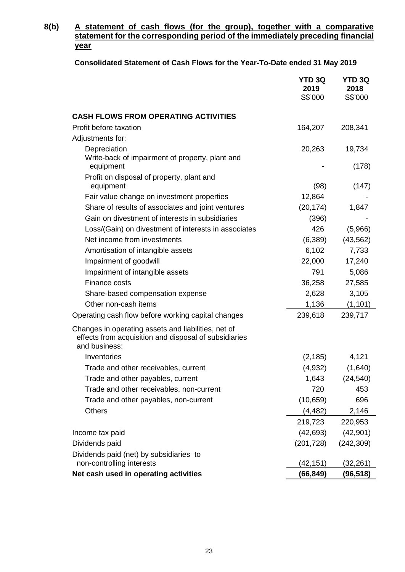## **8(b) A statement of cash flows (for the group), together with a comparative statement for the corresponding period of the immediately preceding financial year**

| Consolidated Statement of Cash Flows for the Year-To-Date ended 31 May 2019 |  |
|-----------------------------------------------------------------------------|--|
|-----------------------------------------------------------------------------|--|

|                                                                                                                               | <b>YTD 3Q</b><br>2019<br>S\$'000 | <b>YTD 3Q</b><br>2018<br>S\$'000 |
|-------------------------------------------------------------------------------------------------------------------------------|----------------------------------|----------------------------------|
| <b>CASH FLOWS FROM OPERATING ACTIVITIES</b>                                                                                   |                                  |                                  |
| Profit before taxation                                                                                                        | 164,207                          | 208,341                          |
| Adjustments for:                                                                                                              |                                  |                                  |
| Depreciation                                                                                                                  | 20,263                           | 19,734                           |
| Write-back of impairment of property, plant and<br>equipment                                                                  |                                  | (178)                            |
| Profit on disposal of property, plant and                                                                                     |                                  |                                  |
| equipment                                                                                                                     | (98)                             | (147)                            |
| Fair value change on investment properties                                                                                    | 12,864                           |                                  |
| Share of results of associates and joint ventures                                                                             | (20, 174)                        | 1,847                            |
| Gain on divestment of interests in subsidiaries                                                                               | (396)                            |                                  |
| Loss/(Gain) on divestment of interests in associates                                                                          | 426                              | (5,966)                          |
| Net income from investments                                                                                                   | (6, 389)                         | (43, 562)                        |
| Amortisation of intangible assets                                                                                             | 6,102                            | 7,733                            |
| Impairment of goodwill                                                                                                        | 22,000                           | 17,240                           |
| Impairment of intangible assets                                                                                               | 791                              | 5,086                            |
| Finance costs                                                                                                                 | 36,258                           | 27,585                           |
| Share-based compensation expense                                                                                              | 2,628                            | 3,105                            |
| Other non-cash items                                                                                                          | 1,136                            | (1, 101)                         |
| Operating cash flow before working capital changes                                                                            | 239,618                          | 239,717                          |
| Changes in operating assets and liabilities, net of<br>effects from acquisition and disposal of subsidiaries<br>and business: |                                  |                                  |
| Inventories                                                                                                                   | (2, 185)                         | 4,121                            |
| Trade and other receivables, current                                                                                          | (4,932)                          | (1,640)                          |
| Trade and other payables, current                                                                                             | 1,643                            | (24, 540)                        |
| Trade and other receivables, non-current                                                                                      | 720                              | 453                              |
| Trade and other payables, non-current                                                                                         | (10, 659)                        | 696                              |
| <b>Others</b>                                                                                                                 | (4, 482)                         | 2,146                            |
|                                                                                                                               | 219,723                          | 220,953                          |
| Income tax paid                                                                                                               | (42, 693)                        | (42, 901)                        |
| Dividends paid                                                                                                                | (201, 728)                       | (242, 309)                       |
| Dividends paid (net) by subsidiaries to                                                                                       |                                  |                                  |
| non-controlling interests                                                                                                     | (42, 151)                        | (32,261)                         |
| Net cash used in operating activities                                                                                         | (66,849)                         | (96,518)                         |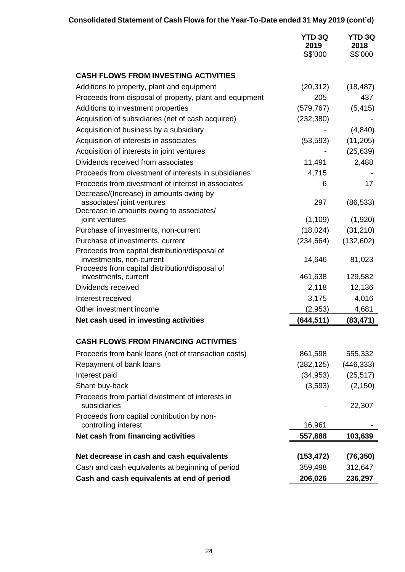# **Consolidated Statement of Cash Flows for the Year-To-Date ended 31 May 2019 (cont'd)**

|                                                                                                       | <b>YTD 3Q</b><br>2019<br>S\$'000 | <b>YTD 3Q</b><br>2018<br>S\$'000 |
|-------------------------------------------------------------------------------------------------------|----------------------------------|----------------------------------|
| <b>CASH FLOWS FROM INVESTING ACTIVITIES</b>                                                           |                                  |                                  |
|                                                                                                       |                                  |                                  |
| Additions to property, plant and equipment<br>Proceeds from disposal of property, plant and equipment | (20, 312)<br>205                 | (18, 487)<br>437                 |
| Additions to investment properties                                                                    | (579, 767)                       | (5, 415)                         |
| Acquisition of subsidiaries (net of cash acquired)                                                    | (232, 380)                       |                                  |
| Acquisition of business by a subsidiary                                                               |                                  | (4, 840)                         |
| Acquisition of interests in associates                                                                | (53, 593)                        | (11, 205)                        |
| Acquisition of interests in joint ventures                                                            |                                  | (25, 639)                        |
| Dividends received from associates                                                                    | 11,491                           | 2,488                            |
| Proceeds from divestment of interests in subsidiaries                                                 | 4,715                            |                                  |
| Proceeds from divestment of interest in associates                                                    | 6                                | 17                               |
| Decrease/(Increase) in amounts owing by                                                               |                                  |                                  |
| associates/ joint ventures                                                                            | 297                              | (86, 533)                        |
| Decrease in amounts owing to associates/                                                              |                                  |                                  |
| joint ventures                                                                                        | (1, 109)                         | (1,920)                          |
| Purchase of investments, non-current<br>Purchase of investments, current                              | (18,024)                         | (31, 210)                        |
| Proceeds from capital distribution/disposal of                                                        | (234, 664)                       | (132,602)                        |
| investments, non-current                                                                              | 14,646                           | 81,023                           |
| Proceeds from capital distribution/disposal of                                                        |                                  |                                  |
| investments, current                                                                                  | 461,638                          | 129,582                          |
| Dividends received                                                                                    | 2,118                            | 12,136                           |
| Interest received                                                                                     | 3,175                            | 4,016                            |
| Other investment income                                                                               | (2,953)                          | 4,681                            |
| Net cash used in investing activities                                                                 | (644, 511)                       | (83, 471)                        |
| <b>CASH FLOWS FROM FINANCING ACTIVITIES</b>                                                           |                                  |                                  |
| Proceeds from bank loans (net of transaction costs)                                                   | 861,598                          | 555,332                          |
| Repayment of bank loans                                                                               | (282, 125)                       | (446, 333)                       |
| Interest paid                                                                                         | (34, 953)                        | (25, 517)                        |
| Share buy-back                                                                                        | (3,593)                          | (2, 150)                         |
| Proceeds from partial divestment of interests in<br>subsidiaries                                      |                                  | 22,307                           |
| Proceeds from capital contribution by non-<br>controlling interest                                    | 16,961                           |                                  |
| Net cash from financing activities                                                                    | 557,888                          | 103,639                          |
|                                                                                                       |                                  |                                  |
| Net decrease in cash and cash equivalents                                                             | (153, 472)                       | (76, 350)                        |
| Cash and cash equivalents at beginning of period                                                      | 359,498                          | 312,647                          |
| Cash and cash equivalents at end of period                                                            | 206,026                          | 236,297                          |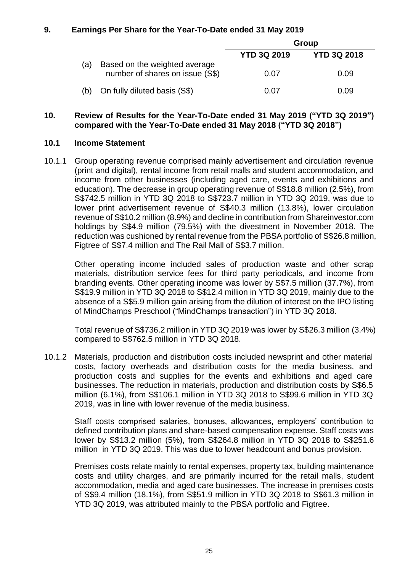### **9. Earnings Per Share for the Year-To-Date ended 31 May 2019**

|     |                                                                  | Group              |                    |  |
|-----|------------------------------------------------------------------|--------------------|--------------------|--|
|     |                                                                  | <b>YTD 3Q 2019</b> | <b>YTD 3Q 2018</b> |  |
| (a) | Based on the weighted average<br>number of shares on issue (S\$) | 0.07               | 0.09               |  |
| (b) | On fully diluted basis (S\$)                                     | 0.07               | 0.09               |  |

### **10. Review of Results for the Year-To-Date ended 31 May 2019 ("YTD 3Q 2019") compared with the Year-To-Date ended 31 May 2018 ("YTD 3Q 2018")**

### **10.1 Income Statement**

10.1.1 Group operating revenue comprised mainly advertisement and circulation revenue (print and digital), rental income from retail malls and student accommodation, and income from other businesses (including aged care, events and exhibitions and education). The decrease in group operating revenue of S\$18.8 million (2.5%), from S\$742.5 million in YTD 3Q 2018 to S\$723.7 million in YTD 3Q 2019, was due to lower print advertisement revenue of S\$40.3 million (13.8%), lower circulation revenue of S\$10.2 million (8.9%) and decline in contribution from Shareinvestor.com holdings by S\$4.9 million (79.5%) with the divestment in November 2018. The reduction was cushioned by rental revenue from the PBSA portfolio of S\$26.8 million, Figtree of S\$7.4 million and The Rail Mall of S\$3.7 million.

Other operating income included sales of production waste and other scrap materials, distribution service fees for third party periodicals, and income from branding events. Other operating income was lower by S\$7.5 million (37.7%), from S\$19.9 million in YTD 3Q 2018 to S\$12.4 million in YTD 3Q 2019, mainly due to the absence of a S\$5.9 million gain arising from the dilution of interest on the IPO listing of MindChamps Preschool ("MindChamps transaction") in YTD 3Q 2018.

Total revenue of S\$736.2 million in YTD 3Q 2019 was lower by S\$26.3 million (3.4%) compared to S\$762.5 million in YTD 3Q 2018.

10.1.2 Materials, production and distribution costs included newsprint and other material costs, factory overheads and distribution costs for the media business, and production costs and supplies for the events and exhibitions and aged care businesses. The reduction in materials, production and distribution costs by S\$6.5 million (6.1%), from S\$106.1 million in YTD 3Q 2018 to S\$99.6 million in YTD 3Q 2019, was in line with lower revenue of the media business.

Staff costs comprised salaries, bonuses, allowances, employers' contribution to defined contribution plans and share-based compensation expense. Staff costs was lower by S\$13.2 million (5%), from S\$264.8 million in YTD 3Q 2018 to S\$251.6 million in YTD 3Q 2019. This was due to lower headcount and bonus provision.

Premises costs relate mainly to rental expenses, property tax, building maintenance costs and utility charges, and are primarily incurred for the retail malls, student accommodation, media and aged care businesses. The increase in premises costs of S\$9.4 million (18.1%), from S\$51.9 million in YTD 3Q 2018 to S\$61.3 million in YTD 3Q 2019, was attributed mainly to the PBSA portfolio and Figtree.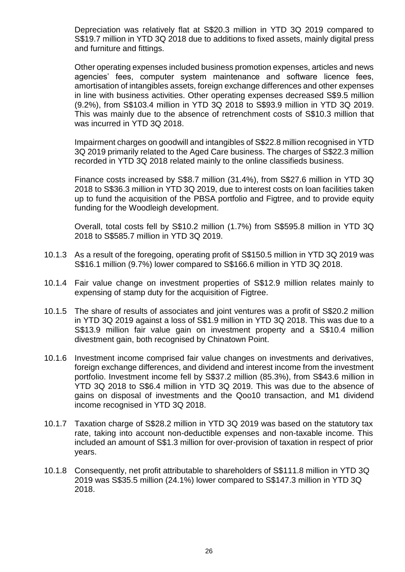Depreciation was relatively flat at S\$20.3 million in YTD 3Q 2019 compared to S\$19.7 million in YTD 3Q 2018 due to additions to fixed assets, mainly digital press and furniture and fittings.

Other operating expenses included business promotion expenses, articles and news agencies' fees, computer system maintenance and software licence fees, amortisation of intangibles assets, foreign exchange differences and other expenses in line with business activities. Other operating expenses decreased S\$9.5 million (9.2%), from S\$103.4 million in YTD 3Q 2018 to S\$93.9 million in YTD 3Q 2019. This was mainly due to the absence of retrenchment costs of S\$10.3 million that was incurred in YTD 3Q 2018.

Impairment charges on goodwill and intangibles of S\$22.8 million recognised in YTD 3Q 2019 primarily related to the Aged Care business. The charges of S\$22.3 million recorded in YTD 3Q 2018 related mainly to the online classifieds business.

Finance costs increased by S\$8.7 million (31.4%), from S\$27.6 million in YTD 3Q 2018 to S\$36.3 million in YTD 3Q 2019, due to interest costs on loan facilities taken up to fund the acquisition of the PBSA portfolio and Figtree, and to provide equity funding for the Woodleigh development.

Overall, total costs fell by S\$10.2 million (1.7%) from S\$595.8 million in YTD 3Q 2018 to S\$585.7 million in YTD 3Q 2019.

- 10.1.3 As a result of the foregoing, operating profit of S\$150.5 million in YTD 3Q 2019 was S\$16.1 million (9.7%) lower compared to S\$166.6 million in YTD 3Q 2018.
- 10.1.4 Fair value change on investment properties of S\$12.9 million relates mainly to expensing of stamp duty for the acquisition of Figtree.
- 10.1.5 The share of results of associates and joint ventures was a profit of S\$20.2 million in YTD 3Q 2019 against a loss of S\$1.9 million in YTD 3Q 2018. This was due to a S\$13.9 million fair value gain on investment property and a S\$10.4 million divestment gain, both recognised by Chinatown Point.
- 10.1.6 Investment income comprised fair value changes on investments and derivatives, foreign exchange differences, and dividend and interest income from the investment portfolio. Investment income fell by S\$37.2 million (85.3%), from S\$43.6 million in YTD 3Q 2018 to S\$6.4 million in YTD 3Q 2019. This was due to the absence of gains on disposal of investments and the Qoo10 transaction, and M1 dividend income recognised in YTD 3Q 2018.
- 10.1.7 Taxation charge of S\$28.2 million in YTD 3Q 2019 was based on the statutory tax rate, taking into account non-deductible expenses and non-taxable income. This included an amount of S\$1.3 million for over-provision of taxation in respect of prior years.
- 10.1.8 Consequently, net profit attributable to shareholders of S\$111.8 million in YTD 3Q 2019 was S\$35.5 million (24.1%) lower compared to S\$147.3 million in YTD 3Q 2018.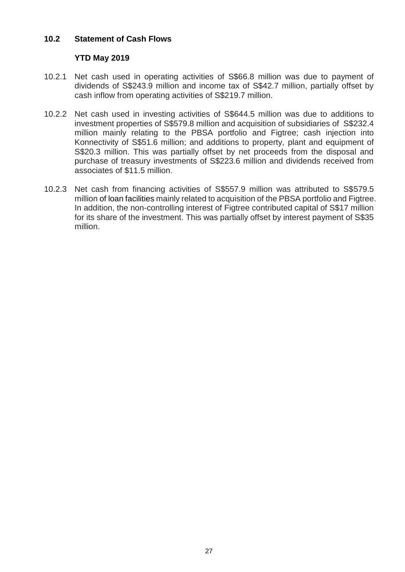### **10.2 Statement of Cash Flows**

## **YTD May 2019**

- 10.2.1 Net cash used in operating activities of S\$66.8 million was due to payment of dividends of S\$243.9 million and income tax of S\$42.7 million, partially offset by cash inflow from operating activities of S\$219.7 million.
- 10.2.2 Net cash used in investing activities of S\$644.5 million was due to additions to investment properties of S\$579.8 million and acquisition of subsidiaries of S\$232.4 million mainly relating to the PBSA portfolio and Figtree; cash injection into Konnectivity of S\$51.6 million; and additions to property, plant and equipment of S\$20.3 million. This was partially offset by net proceeds from the disposal and purchase of treasury investments of S\$223.6 million and dividends received from associates of \$11.5 million.
- 10.2.3 Net cash from financing activities of S\$557.9 million was attributed to S\$579.5 million of loan facilities mainly related to acquisition of the PBSA portfolio and Figtree. In addition, the non-controlling interest of Figtree contributed capital of S\$17 million for its share of the investment. This was partially offset by interest payment of S\$35 million.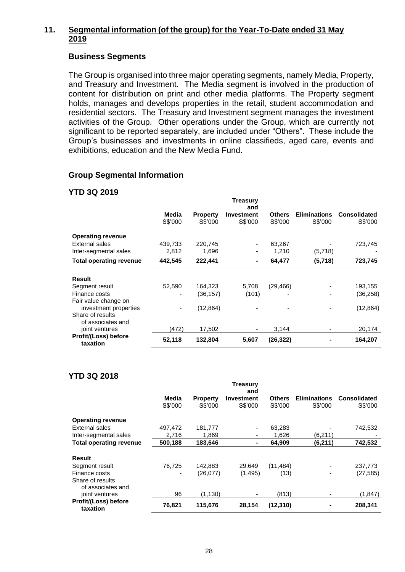## **11. Segmental information (of the group) for the Year-To-Date ended 31 May 2019**

### **Business Segments**

The Group is organised into three major operating segments, namely Media, Property, and Treasury and Investment. The Media segment is involved in the production of content for distribution on print and other media platforms. The Property segment holds, manages and develops properties in the retail, student accommodation and residential sectors. The Treasury and Investment segment manages the investment activities of the Group. Other operations under the Group, which are currently not significant to be reported separately, are included under "Others". These include the Group's businesses and investments in online classifieds, aged care, events and exhibitions, education and the New Media Fund.

## **Group Segmental Information**

## **YTD 3Q 2019**

|                                       |                          |                 | <b>Treasury</b><br>and |               |                          |                     |
|---------------------------------------|--------------------------|-----------------|------------------------|---------------|--------------------------|---------------------|
|                                       | Media                    | <b>Property</b> | <b>Investment</b>      | <b>Others</b> | <b>Eliminations</b>      | <b>Consolidated</b> |
|                                       | S\$'000                  | S\$'000         | S\$'000                | S\$'000       | S\$'000                  | S\$'000             |
| <b>Operating revenue</b>              |                          |                 |                        |               |                          |                     |
| External sales                        | 439,733                  | 220,745         |                        | 63,267        |                          | 723,745             |
| Inter-segmental sales                 | 2,812                    | 1,696           |                        | 1,210         | (5,718)                  |                     |
| <b>Total operating revenue</b>        | 442,545                  | 222,441         |                        | 64,477        | (5,718)                  | 723,745             |
| <b>Result</b>                         |                          |                 |                        |               |                          |                     |
| Segment result                        | 52,590                   | 164,323         | 5,708                  | (29, 466)     |                          | 193,155             |
| Finance costs                         |                          | (36,157)        | (101)                  |               |                          | (36, 258)           |
| Fair value change on                  |                          |                 |                        |               |                          |                     |
| investment properties                 | $\overline{\phantom{a}}$ | (12, 864)       |                        |               |                          | (12, 864)           |
| Share of results<br>of associates and |                          |                 |                        |               |                          |                     |
| joint ventures                        | (472)                    | 17,502          |                        | 3,144         | $\overline{\phantom{a}}$ | 20,174              |
| Profit/(Loss) before<br>taxation      | 52,118                   | 132,804         | 5,607                  | (26,322)      |                          | 164,207             |

## **YTD 3Q 2018**

|                                       |         |                 | <b>Treasury</b><br>and |               |                     |              |
|---------------------------------------|---------|-----------------|------------------------|---------------|---------------------|--------------|
|                                       | Media   | <b>Property</b> | Investment             | <b>Others</b> | <b>Eliminations</b> | Consolidated |
|                                       | S\$'000 | S\$'000         | S\$'000                | S\$'000       | S\$'000             | S\$'000      |
| <b>Operating revenue</b>              |         |                 |                        |               |                     |              |
| External sales                        | 497,472 | 181,777         |                        | 63,283        |                     | 742,532      |
| Inter-segmental sales                 | 2,716   | 1,869           |                        | 1,626         | (6,211)             |              |
| <b>Total operating revenue</b>        | 500,188 | 183,646         |                        | 64,909        | (6, 211)            | 742,532      |
| Result                                |         |                 |                        |               |                     |              |
| Segment result                        | 76,725  | 142,883         | 29,649                 | (11, 484)     |                     | 237,773      |
| Finance costs                         | ۰       | (26,077)        | (1, 495)               | (13)          |                     | (27, 585)    |
| Share of results<br>of associates and |         |                 |                        |               |                     |              |
| joint ventures                        | 96      | (1, 130)        |                        | (813)         | ٠                   | (1,847)      |
| Profit/(Loss) before<br>taxation      | 76,821  | 115,676         | 28,154                 | (12, 310)     |                     | 208,341      |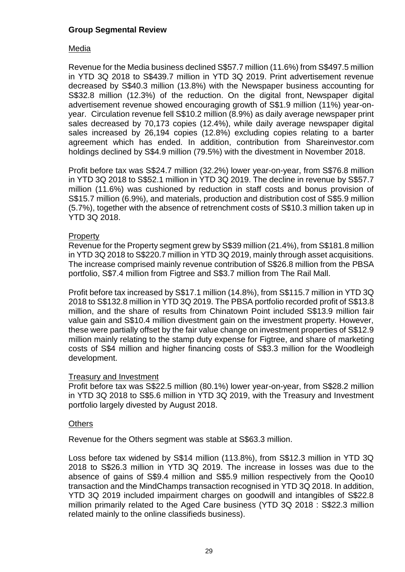### **Group Segmental Review**

### Media

Revenue for the Media business declined S\$57.7 million (11.6%) from S\$497.5 million in YTD 3Q 2018 to S\$439.7 million in YTD 3Q 2019. Print advertisement revenue decreased by S\$40.3 million (13.8%) with the Newspaper business accounting for S\$32.8 million (12.3%) of the reduction. On the digital front, Newspaper digital advertisement revenue showed encouraging growth of S\$1.9 million (11%) year-onyear. Circulation revenue fell S\$10.2 million (8.9%) as daily average newspaper print sales decreased by 70,173 copies (12.4%), while daily average newspaper digital sales increased by 26,194 copies (12.8%) excluding copies relating to a barter agreement which has ended. In addition, contribution from Shareinvestor.com holdings declined by S\$4.9 million (79.5%) with the divestment in November 2018.

Profit before tax was S\$24.7 million (32.2%) lower year-on-year, from S\$76.8 million in YTD 3Q 2018 to S\$52.1 million in YTD 3Q 2019. The decline in revenue by S\$57.7 million (11.6%) was cushioned by reduction in staff costs and bonus provision of S\$15.7 million (6.9%), and materials, production and distribution cost of S\$5.9 million (5.7%), together with the absence of retrenchment costs of S\$10.3 million taken up in YTD 3Q 2018.

### **Property**

Revenue for the Property segment grew by S\$39 million (21.4%), from S\$181.8 million in YTD 3Q 2018 to S\$220.7 million in YTD 3Q 2019, mainly through asset acquisitions. The increase comprised mainly revenue contribution of S\$26.8 million from the PBSA portfolio, S\$7.4 million from Figtree and S\$3.7 million from The Rail Mall.

Profit before tax increased by S\$17.1 million (14.8%), from S\$115.7 million in YTD 3Q 2018 to S\$132.8 million in YTD 3Q 2019. The PBSA portfolio recorded profit of S\$13.8 million, and the share of results from Chinatown Point included S\$13.9 million fair value gain and S\$10.4 million divestment gain on the investment property. However, these were partially offset by the fair value change on investment properties of S\$12.9 million mainly relating to the stamp duty expense for Figtree, and share of marketing costs of S\$4 million and higher financing costs of S\$3.3 million for the Woodleigh development.

### Treasury and Investment

Profit before tax was S\$22.5 million (80.1%) lower year-on-year, from S\$28.2 million in YTD 3Q 2018 to S\$5.6 million in YTD 3Q 2019, with the Treasury and Investment portfolio largely divested by August 2018.

### **Others**

Revenue for the Others segment was stable at S\$63.3 million.

Loss before tax widened by S\$14 million (113.8%), from S\$12.3 million in YTD 3Q 2018 to S\$26.3 million in YTD 3Q 2019. The increase in losses was due to the absence of gains of S\$9.4 million and S\$5.9 million respectively from the Qoo10 transaction and the MindChamps transaction recognised in YTD 3Q 2018. In addition, YTD 3Q 2019 included impairment charges on goodwill and intangibles of S\$22.8 million primarily related to the Aged Care business (YTD 3Q 2018 : S\$22.3 million related mainly to the online classifieds business).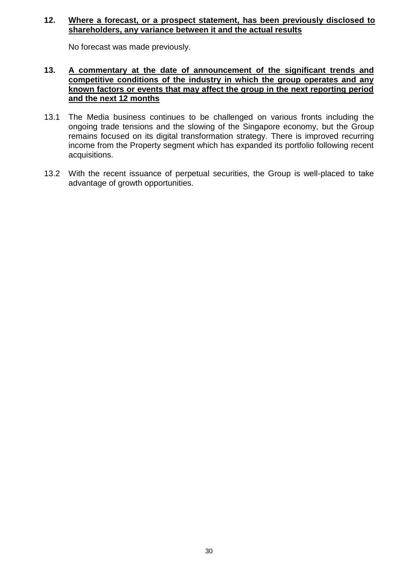### **12. Where a forecast, or a prospect statement, has been previously disclosed to shareholders, any variance between it and the actual results**

No forecast was made previously.

### **13. A commentary at the date of announcement of the significant trends and competitive conditions of the industry in which the group operates and any known factors or events that may affect the group in the next reporting period and the next 12 months**

- 13.1 The Media business continues to be challenged on various fronts including the ongoing trade tensions and the slowing of the Singapore economy, but the Group remains focused on its digital transformation strategy. There is improved recurring income from the Property segment which has expanded its portfolio following recent acquisitions.
- 13.2 With the recent issuance of perpetual securities, the Group is well-placed to take advantage of growth opportunities.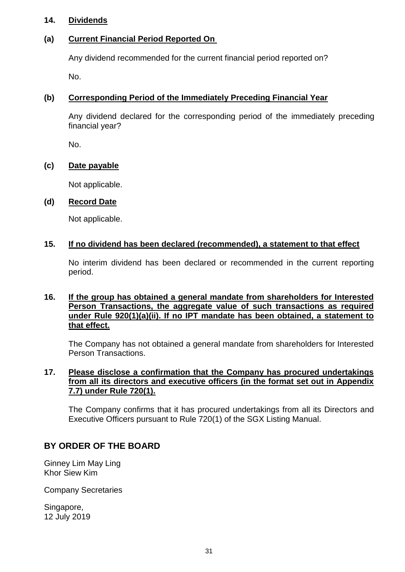### **14. Dividends**

## **(a) Current Financial Period Reported On**

Any dividend recommended for the current financial period reported on?

No.

## **(b) Corresponding Period of the Immediately Preceding Financial Year**

Any dividend declared for the corresponding period of the immediately preceding financial year?

No.

## **(c) Date payable**

Not applicable.

## **(d) Record Date**

Not applicable.

### **15. If no dividend has been declared (recommended), a statement to that effect**

No interim dividend has been declared or recommended in the current reporting period.

### **16. If the group has obtained a general mandate from shareholders for Interested Person Transactions, the aggregate value of such transactions as required under Rule 920(1)(a)(ii). If no IPT mandate has been obtained, a statement to that effect.**

The Company has not obtained a general mandate from shareholders for Interested Person Transactions.

### **17. Please disclose a confirmation that the Company has procured undertakings from all its directors and executive officers (in the format set out in Appendix 7.7) under Rule 720(1).**

The Company confirms that it has procured undertakings from all its Directors and Executive Officers pursuant to Rule 720(1) of the SGX Listing Manual.

# **BY ORDER OF THE BOARD**

Ginney Lim May Ling Khor Siew Kim

Company Secretaries

Singapore, 12 July 2019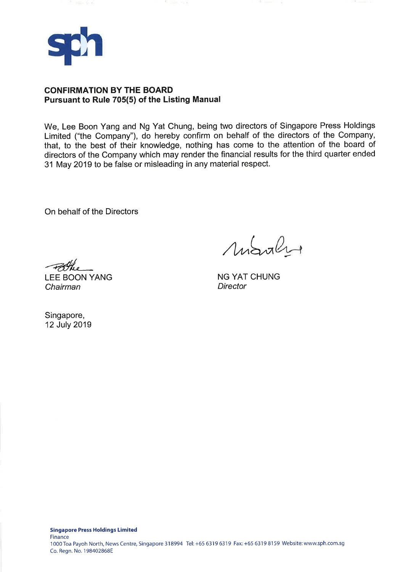

### **CONFIRMATION BY THE BOARD** Pursuant to Rule 705(5) of the Listing Manual

We, Lee Boon Yang and Ng Yat Chung, being two directors of Singapore Press Holdings Limited ("the Company"), do hereby confirm on behalf of the directors of the Company, that, to the best of their knowledge, nothing has come to the attention of the board of directors of the Company which may render the financial results for the third quarter ended 31 May 2019 to be false or misleading in any material respect.

On behalf of the Directors

Mobile

**NG YAT CHUNG Director** 

Blue

**LEE BOON YANG** Chairman

Singapore, 12 July 2019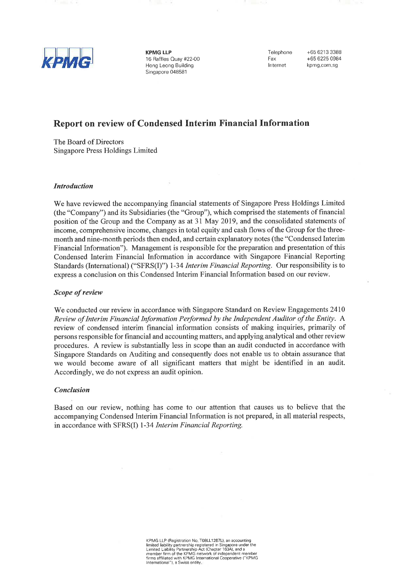

**KPMG LLP** 16 Raffles Quay #22-00 Hong Leong Building Singapore 048581

Telephone Fax Internet

+65 6213 3388 +65 6225 0984 kpmg.com.sg

## Report on review of Condensed Interim Financial Information

The Board of Directors Singapore Press Holdings Limited

### **Introduction**

We have reviewed the accompanying financial statements of Singapore Press Holdings Limited (the "Company") and its Subsidiaries (the "Group"), which comprised the statements of financial position of the Group and the Company as at 31 May 2019, and the consolidated statements of income, comprehensive income, changes in total equity and cash flows of the Group for the threemonth and nine-month periods then ended, and certain explanatory notes (the "Condensed Interim Financial Information"). Management is responsible for the preparation and presentation of this Condensed Interim Financial Information in accordance with Singapore Financial Reporting Standards (International) ("SFRS(I)") 1-34 Interim Financial Reporting. Our responsibility is to express a conclusion on this Condensed Interim Financial Information based on our review.

### Scope of review

We conducted our review in accordance with Singapore Standard on Review Engagements 2410 Review of Interim Financial Information Performed by the Independent Auditor of the Entity. A review of condensed interim financial information consists of making inquiries, primarily of persons responsible for financial and accounting matters, and applying analytical and other review procedures. A review is substantially less in scope than an audit conducted in accordance with Singapore Standards on Auditing and consequently does not enable us to obtain assurance that we would become aware of all significant matters that might be identified in an audit. Accordingly, we do not express an audit opinion.

#### **Conclusion**

Based on our review, nothing has come to our attention that causes us to believe that the accompanying Condensed Interim Financial Information is not prepared, in all material respects, in accordance with SFRS(I) 1-34 Interim Financial Reporting.